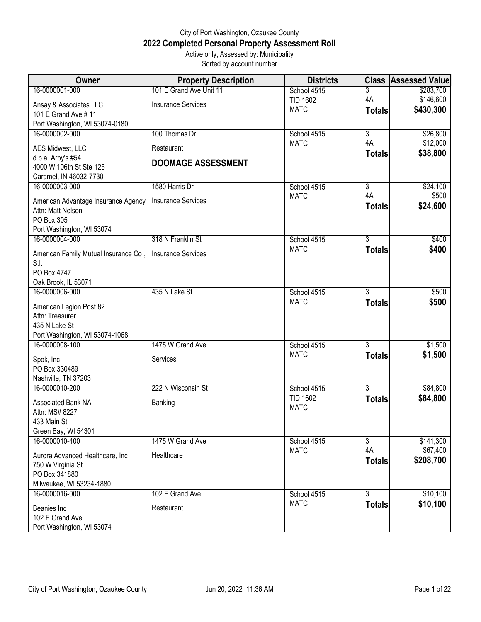## City of Port Washington, Ozaukee County **2022 Completed Personal Property Assessment Roll** Active only, Assessed by: Municipality

Sorted by account number

| Owner                                         | <b>Property Description</b> | <b>Districts</b>               |                | <b>Class Assessed Value</b> |
|-----------------------------------------------|-----------------------------|--------------------------------|----------------|-----------------------------|
| 16-0000001-000                                | 101 E Grand Ave Unit 11     | School 4515                    | 3              | \$283,700                   |
| Ansay & Associates LLC                        | <b>Insurance Services</b>   | <b>TID 1602</b>                | 4A             | \$146,600                   |
| 101 E Grand Ave # 11                          |                             | <b>MATC</b>                    | <b>Totals</b>  | \$430,300                   |
| Port Washington, WI 53074-0180                |                             |                                |                |                             |
| 16-0000002-000                                | 100 Thomas Dr               | School 4515                    | $\overline{3}$ | \$26,800                    |
| AES Midwest, LLC                              | Restaurant                  | <b>MATC</b>                    | 4A             | \$12,000                    |
| d.b.a. Arby's #54                             | <b>DOOMAGE ASSESSMENT</b>   |                                | <b>Totals</b>  | \$38,800                    |
| 4000 W 106th St Ste 125                       |                             |                                |                |                             |
| Caramel, IN 46032-7730                        |                             |                                | $\overline{3}$ |                             |
| 16-0000003-000                                | 1580 Harris Dr              | School 4515<br><b>MATC</b>     | 4A             | \$24,100<br>\$500           |
| American Advantage Insurance Agency           | <b>Insurance Services</b>   |                                | <b>Totals</b>  | \$24,600                    |
| Attn: Matt Nelson                             |                             |                                |                |                             |
| PO Box 305<br>Port Washington, WI 53074       |                             |                                |                |                             |
| 16-0000004-000                                | 318 N Franklin St           | School 4515                    | $\overline{3}$ | \$400                       |
|                                               |                             | <b>MATC</b>                    | <b>Totals</b>  | \$400                       |
| American Family Mutual Insurance Co.,<br>S.I. | <b>Insurance Services</b>   |                                |                |                             |
| PO Box 4747                                   |                             |                                |                |                             |
| Oak Brook, IL 53071                           |                             |                                |                |                             |
| 16-0000006-000                                | 435 N Lake St               | School 4515                    | $\overline{3}$ | \$500                       |
| American Legion Post 82                       |                             | <b>MATC</b>                    | <b>Totals</b>  | \$500                       |
| Attn: Treasurer                               |                             |                                |                |                             |
| 435 N Lake St                                 |                             |                                |                |                             |
| Port Washington, WI 53074-1068                |                             |                                |                |                             |
| 16-0000008-100                                | 1475 W Grand Ave            | School 4515                    | 3              | \$1,500                     |
| Spok, Inc                                     | Services                    | <b>MATC</b>                    | <b>Totals</b>  | \$1,500                     |
| PO Box 330489                                 |                             |                                |                |                             |
| Nashville, TN 37203                           |                             |                                |                |                             |
| 16-0000010-200                                | 222 N Wisconsin St          | School 4515                    | $\overline{3}$ | \$84,800                    |
| Associated Bank NA                            | Banking                     | <b>TID 1602</b><br><b>MATC</b> | <b>Totals</b>  | \$84,800                    |
| Attn: MS# 8227                                |                             |                                |                |                             |
| 433 Main St                                   |                             |                                |                |                             |
| Green Bay, WI 54301<br>16-0000010-400         | 1475 W Grand Ave            | School 4515                    | $\overline{3}$ | \$141,300                   |
|                                               |                             | <b>MATC</b>                    | 4A             | \$67,400                    |
| Aurora Advanced Healthcare, Inc               | Healthcare                  |                                | <b>Totals</b>  | \$208,700                   |
| 750 W Virginia St<br>PO Box 341880            |                             |                                |                |                             |
| Milwaukee, WI 53234-1880                      |                             |                                |                |                             |
| 16-0000016-000                                | 102 E Grand Ave             | School 4515                    | $\overline{3}$ | \$10,100                    |
| Beanies Inc                                   | Restaurant                  | <b>MATC</b>                    | <b>Totals</b>  | \$10,100                    |
| 102 E Grand Ave                               |                             |                                |                |                             |
| Port Washington, WI 53074                     |                             |                                |                |                             |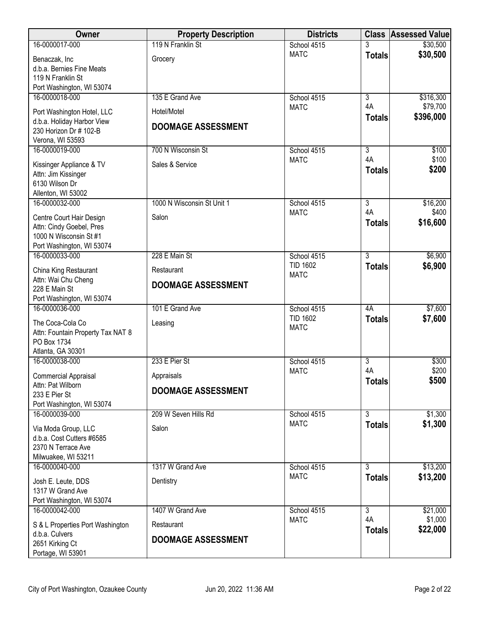| <b>Owner</b>                                        | <b>Property Description</b> | <b>Districts</b>           |                      | <b>Class Assessed Value</b> |
|-----------------------------------------------------|-----------------------------|----------------------------|----------------------|-----------------------------|
| 16-0000017-000                                      | 119 N Franklin St           | School 4515                |                      | \$30,500                    |
| Benaczak, Inc                                       | Grocery                     | <b>MATC</b>                | <b>Totals</b>        | \$30,500                    |
| d.b.a. Bernies Fine Meats<br>119 N Franklin St      |                             |                            |                      |                             |
| Port Washington, WI 53074                           |                             |                            |                      |                             |
| 16-0000018-000                                      | 135 E Grand Ave             | School 4515                | $\overline{3}$       | \$316,300                   |
| Port Washington Hotel, LLC                          | Hotel/Motel                 | <b>MATC</b>                | 4A                   | \$79,700                    |
| d.b.a. Holiday Harbor View                          | <b>DOOMAGE ASSESSMENT</b>   |                            | <b>Totals</b>        | \$396,000                   |
| 230 Horizon Dr # 102-B<br>Verona, WI 53593          |                             |                            |                      |                             |
| 16-0000019-000                                      | 700 N Wisconsin St          | School 4515                | $\overline{3}$       | \$100                       |
| Kissinger Appliance & TV                            | Sales & Service             | <b>MATC</b>                | 4A                   | \$100                       |
| Attn: Jim Kissinger                                 |                             |                            | <b>Totals</b>        | \$200                       |
| 6130 Wilson Dr<br>Allenton, WI 53002                |                             |                            |                      |                             |
| 16-0000032-000                                      | 1000 N Wisconsin St Unit 1  | School 4515                | $\overline{3}$       | \$16,200                    |
| Centre Court Hair Design                            | Salon                       | <b>MATC</b>                | 4A                   | \$400                       |
| Attn: Cindy Goebel, Pres                            |                             |                            | <b>Totals</b>        | \$16,600                    |
| 1000 N Wisconsin St #1<br>Port Washington, WI 53074 |                             |                            |                      |                             |
| 16-0000033-000                                      | 228 E Main St               | School 4515                | $\overline{3}$       | \$6,900                     |
| China King Restaurant                               | Restaurant                  | <b>TID 1602</b>            | <b>Totals</b>        | \$6,900                     |
| Attn: Wai Chu Cheng                                 | <b>DOOMAGE ASSESSMENT</b>   | <b>MATC</b>                |                      |                             |
| 228 E Main St                                       |                             |                            |                      |                             |
| Port Washington, WI 53074<br>16-0000036-000         | 101 E Grand Ave             | School 4515                | 4A                   | \$7,600                     |
| The Coca-Cola Co                                    | Leasing                     | <b>TID 1602</b>            | <b>Totals</b>        | \$7,600                     |
| Attn: Fountain Property Tax NAT 8                   |                             | <b>MATC</b>                |                      |                             |
| PO Box 1734                                         |                             |                            |                      |                             |
| Atlanta, GA 30301<br>16-0000038-000                 | 233 E Pier St               | School 4515                | $\overline{3}$       | \$300                       |
| <b>Commercial Appraisal</b>                         | Appraisals                  | <b>MATC</b>                | 4A                   | \$200                       |
| Attn: Pat Wilborn                                   | <b>DOOMAGE ASSESSMENT</b>   |                            | <b>Totals</b>        | \$500                       |
| 233 E Pier St<br>Port Washington, WI 53074          |                             |                            |                      |                             |
| 16-0000039-000                                      | 209 W Seven Hills Rd        | School 4515                | $\overline{3}$       | \$1,300                     |
| Via Moda Group, LLC                                 | Salon                       | <b>MATC</b>                | <b>Totals</b>        | \$1,300                     |
| d.b.a. Cost Cutters #6585                           |                             |                            |                      |                             |
| 2370 N Terrace Ave<br>Milwuakee, WI 53211           |                             |                            |                      |                             |
| 16-0000040-000                                      | 1317 W Grand Ave            | School 4515                | $\overline{3}$       | \$13,200                    |
| Josh E. Leute, DDS                                  | Dentistry                   | <b>MATC</b>                | <b>Totals</b>        | \$13,200                    |
| 1317 W Grand Ave                                    |                             |                            |                      |                             |
| Port Washington, WI 53074                           |                             |                            |                      |                             |
| 16-0000042-000                                      | 1407 W Grand Ave            | School 4515<br><b>MATC</b> | $\overline{3}$<br>4A | \$21,000<br>\$1,000         |
| S & L Properties Port Washington<br>d.b.a. Culvers  | Restaurant                  |                            | <b>Totals</b>        | \$22,000                    |
| 2651 Kirking Ct                                     | <b>DOOMAGE ASSESSMENT</b>   |                            |                      |                             |
| Portage, WI 53901                                   |                             |                            |                      |                             |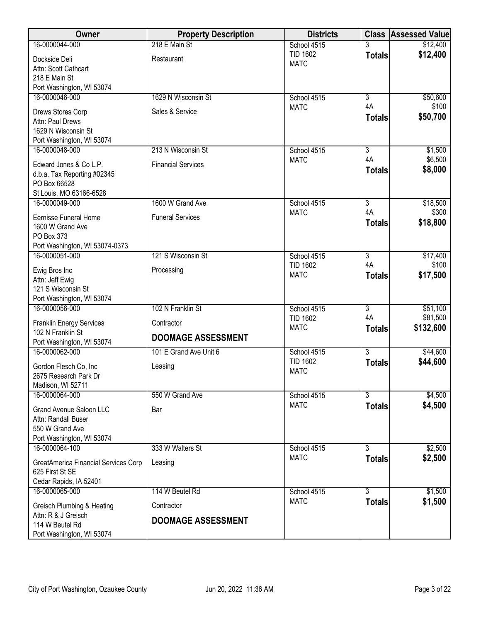| Owner                                                | <b>Property Description</b> | <b>Districts</b>               |                      | <b>Class Assessed Value</b> |
|------------------------------------------------------|-----------------------------|--------------------------------|----------------------|-----------------------------|
| 16-0000044-000                                       | 218 E Main St               | School 4515                    |                      | \$12,400                    |
| Dockside Deli                                        | Restaurant                  | <b>TID 1602</b><br><b>MATC</b> | <b>Totals</b>        | \$12,400                    |
| Attn: Scott Cathcart                                 |                             |                                |                      |                             |
| 218 E Main St                                        |                             |                                |                      |                             |
| Port Washington, WI 53074<br>16-0000046-000          | 1629 N Wisconsin St         | School 4515                    | $\overline{3}$       | \$50,600                    |
|                                                      |                             | <b>MATC</b>                    | 4A                   | \$100                       |
| Drews Stores Corp                                    | Sales & Service             |                                | <b>Totals</b>        | \$50,700                    |
| Attn: Paul Drews<br>1629 N Wisconsin St              |                             |                                |                      |                             |
| Port Washington, WI 53074                            |                             |                                |                      |                             |
| 16-0000048-000                                       | 213 N Wisconsin St          | School 4515                    | $\overline{3}$       | \$1,500                     |
| Edward Jones & Co L.P.                               | <b>Financial Services</b>   | <b>MATC</b>                    | 4A                   | \$6,500                     |
| d.b.a. Tax Reporting #02345                          |                             |                                | <b>Totals</b>        | \$8,000                     |
| PO Box 66528                                         |                             |                                |                      |                             |
| St Louis, MO 63166-6528                              |                             |                                |                      |                             |
| 16-0000049-000                                       | 1600 W Grand Ave            | School 4515                    | $\overline{3}$       | \$18,500                    |
| <b>Eernisse Funeral Home</b>                         | <b>Funeral Services</b>     | <b>MATC</b>                    | 4A                   | \$300                       |
| 1600 W Grand Ave                                     |                             |                                | <b>Totals</b>        | \$18,800                    |
| PO Box 373                                           |                             |                                |                      |                             |
| Port Washington, WI 53074-0373                       |                             |                                |                      |                             |
| 16-0000051-000                                       | 121 S Wisconsin St          | School 4515<br><b>TID 1602</b> | $\overline{3}$<br>4A | \$17,400<br>\$100           |
| Ewig Bros Inc                                        | Processing                  | <b>MATC</b>                    | <b>Totals</b>        | \$17,500                    |
| Attn: Jeff Ewig                                      |                             |                                |                      |                             |
| 121 S Wisconsin St<br>Port Washington, WI 53074      |                             |                                |                      |                             |
| 16-0000056-000                                       | 102 N Franklin St           | School 4515                    | $\overline{3}$       | \$51,100                    |
|                                                      |                             | <b>TID 1602</b>                | 4A                   | \$81,500                    |
| <b>Franklin Energy Services</b><br>102 N Franklin St | Contractor                  | <b>MATC</b>                    | <b>Totals</b>        | \$132,600                   |
| Port Washington, WI 53074                            | <b>DOOMAGE ASSESSMENT</b>   |                                |                      |                             |
| 16-0000062-000                                       | 101 E Grand Ave Unit 6      | School 4515                    | $\overline{3}$       | \$44,600                    |
| Gordon Flesch Co, Inc                                | Leasing                     | <b>TID 1602</b>                | <b>Totals</b>        | \$44,600                    |
| 2675 Research Park Dr                                |                             | <b>MATC</b>                    |                      |                             |
| Madison, WI 52711                                    |                             |                                |                      |                             |
| 16-0000064-000                                       | 550 W Grand Ave             | School 4515                    | $\overline{3}$       | \$4,500                     |
| <b>Grand Avenue Saloon LLC</b>                       | Bar                         | <b>MATC</b>                    | <b>Totals</b>        | \$4,500                     |
| Attn: Randall Buser                                  |                             |                                |                      |                             |
| 550 W Grand Ave                                      |                             |                                |                      |                             |
| Port Washington, WI 53074                            |                             |                                |                      |                             |
| 16-0000064-100                                       | 333 W Walters St            | School 4515<br><b>MATC</b>     | 3                    | \$2,500<br>\$2,500          |
| GreatAmerica Financial Services Corp                 | Leasing                     |                                | <b>Totals</b>        |                             |
| 625 First St SE                                      |                             |                                |                      |                             |
| Cedar Rapids, IA 52401<br>16-0000065-000             | 114 W Beutel Rd             | School 4515                    | $\overline{3}$       | \$1,500                     |
|                                                      |                             | <b>MATC</b>                    | <b>Totals</b>        | \$1,500                     |
| Greisch Plumbing & Heating                           | Contractor                  |                                |                      |                             |
| Attn: R & J Greisch<br>114 W Beutel Rd               | <b>DOOMAGE ASSESSMENT</b>   |                                |                      |                             |
| Port Washington, WI 53074                            |                             |                                |                      |                             |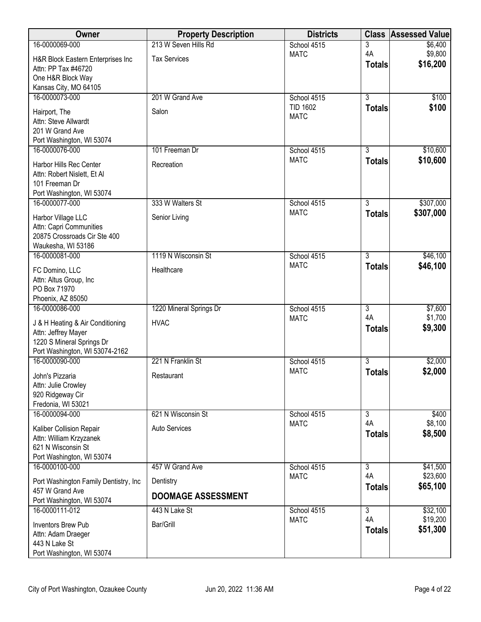| Owner                                                   | <b>Property Description</b> | <b>Districts</b>               | <b>Class</b>         | <b>Assessed Value</b> |
|---------------------------------------------------------|-----------------------------|--------------------------------|----------------------|-----------------------|
| 16-0000069-000                                          | 213 W Seven Hills Rd        | School 4515                    | 3                    | \$6,400               |
| H&R Block Eastern Enterprises Inc                       | <b>Tax Services</b>         | <b>MATC</b>                    | 4A<br><b>Totals</b>  | \$9,800<br>\$16,200   |
| Attn: PP Tax #46720<br>One H&R Block Way                |                             |                                |                      |                       |
| Kansas City, MO 64105                                   |                             |                                |                      |                       |
| 16-0000073-000                                          | 201 W Grand Ave             | School 4515                    | $\overline{3}$       | \$100                 |
| Hairport, The                                           | Salon                       | <b>TID 1602</b><br><b>MATC</b> | <b>Totals</b>        | \$100                 |
| Attn: Steve Allwardt                                    |                             |                                |                      |                       |
| 201 W Grand Ave<br>Port Washington, WI 53074            |                             |                                |                      |                       |
| 16-0000076-000                                          | 101 Freeman Dr              | School 4515                    | 3                    | \$10,600              |
| Harbor Hills Rec Center                                 | Recreation                  | <b>MATC</b>                    | <b>Totals</b>        | \$10,600              |
| Attn: Robert Nislett, Et Al                             |                             |                                |                      |                       |
| 101 Freeman Dr<br>Port Washington, WI 53074             |                             |                                |                      |                       |
| 16-0000077-000                                          | 333 W Walters St            | School 4515                    | $\overline{3}$       | \$307,000             |
| Harbor Village LLC                                      | Senior Living               | <b>MATC</b>                    | <b>Totals</b>        | \$307,000             |
| Attn: Capri Communities                                 |                             |                                |                      |                       |
| 20875 Crossroads Cir Ste 400                            |                             |                                |                      |                       |
| Waukesha, WI 53186<br>16-0000081-000                    | 1119 N Wisconsin St         | School 4515                    | $\overline{3}$       | \$46,100              |
|                                                         | Healthcare                  | <b>MATC</b>                    | <b>Totals</b>        | \$46,100              |
| FC Domino, LLC<br>Attn: Altus Group, Inc                |                             |                                |                      |                       |
| PO Box 71970                                            |                             |                                |                      |                       |
| Phoenix, AZ 85050                                       |                             |                                |                      |                       |
| 16-0000086-000                                          | 1220 Mineral Springs Dr     | School 4515<br><b>MATC</b>     | $\overline{3}$<br>4A | \$7,600<br>\$1,700    |
| J & H Heating & Air Conditioning<br>Attn: Jeffrey Mayer | <b>HVAC</b>                 |                                | <b>Totals</b>        | \$9,300               |
| 1220 S Mineral Springs Dr                               |                             |                                |                      |                       |
| Port Washington, WI 53074-2162                          |                             |                                |                      |                       |
| 16-0000090-000                                          | 221 N Franklin St           | School 4515<br><b>MATC</b>     | $\overline{3}$       | \$2,000<br>\$2,000    |
| John's Pizzaria                                         | Restaurant                  |                                | <b>Totals</b>        |                       |
| Attn: Julie Crowley<br>920 Ridgeway Cir                 |                             |                                |                      |                       |
| Fredonia, WI 53021                                      |                             |                                |                      |                       |
| 16-0000094-000                                          | 621 N Wisconsin St          | School 4515                    | $\overline{3}$       | \$400                 |
| Kaliber Collision Repair                                | <b>Auto Services</b>        | <b>MATC</b>                    | 4A<br><b>Totals</b>  | \$8,100<br>\$8,500    |
| Attn: William Krzyzanek<br>621 N Wisconsin St           |                             |                                |                      |                       |
| Port Washington, WI 53074                               |                             |                                |                      |                       |
| 16-0000100-000                                          | 457 W Grand Ave             | School 4515                    | $\overline{3}$       | \$41,500              |
| Port Washington Family Dentistry, Inc.                  | Dentistry                   | <b>MATC</b>                    | 4A<br><b>Totals</b>  | \$23,600<br>\$65,100  |
| 457 W Grand Ave                                         | <b>DOOMAGE ASSESSMENT</b>   |                                |                      |                       |
| Port Washington, WI 53074<br>16-0000111-012             | 443 N Lake St               | School 4515                    | $\overline{3}$       | \$32,100              |
| <b>Inventors Brew Pub</b>                               | Bar/Grill                   | <b>MATC</b>                    | 4A                   | \$19,200              |
| Attn: Adam Draeger                                      |                             |                                | <b>Totals</b>        | \$51,300              |
| 443 N Lake St                                           |                             |                                |                      |                       |
| Port Washington, WI 53074                               |                             |                                |                      |                       |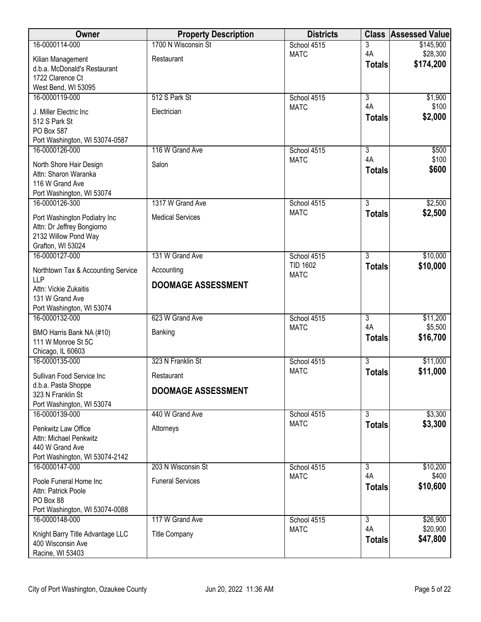| <b>Owner</b>                                          | <b>Property Description</b> | <b>Districts</b> |                      | <b>Class Assessed Value</b> |
|-------------------------------------------------------|-----------------------------|------------------|----------------------|-----------------------------|
| 16-0000114-000                                        | 1700 N Wisconsin St         | School 4515      | 3                    | \$145,900                   |
| Kilian Management                                     | Restaurant                  | <b>MATC</b>      | 4A                   | \$28,300<br>\$174,200       |
| d.b.a. McDonald's Restaurant                          |                             |                  | <b>Totals</b>        |                             |
| 1722 Clarence Ct                                      |                             |                  |                      |                             |
| West Bend, WI 53095<br>16-0000119-000                 | 512 S Park St               | School 4515      | $\overline{3}$       | \$1,900                     |
|                                                       |                             | <b>MATC</b>      | 4A                   | \$100                       |
| J. Miller Electric Inc                                | Electrician                 |                  | <b>Totals</b>        | \$2,000                     |
| 512 S Park St<br>PO Box 587                           |                             |                  |                      |                             |
| Port Washington, WI 53074-0587                        |                             |                  |                      |                             |
| 16-0000126-000                                        | 116 W Grand Ave             | School 4515      | $\overline{3}$       | \$500                       |
| North Shore Hair Design                               | Salon                       | <b>MATC</b>      | 4A                   | \$100                       |
| Attn: Sharon Waranka                                  |                             |                  | <b>Totals</b>        | \$600                       |
| 116 W Grand Ave                                       |                             |                  |                      |                             |
| Port Washington, WI 53074                             |                             |                  |                      |                             |
| 16-0000126-300                                        | 1317 W Grand Ave            | School 4515      | $\overline{3}$       | \$2,500                     |
| Port Washington Podiatry Inc                          | <b>Medical Services</b>     | <b>MATC</b>      | <b>Totals</b>        | \$2,500                     |
| Attn: Dr Jeffrey Bongiorno                            |                             |                  |                      |                             |
| 2132 Willow Pond Way<br>Grafton, WI 53024             |                             |                  |                      |                             |
| 16-0000127-000                                        | 131 W Grand Ave             | School 4515      | $\overline{3}$       | \$10,000                    |
|                                                       |                             | <b>TID 1602</b>  | <b>Totals</b>        | \$10,000                    |
| Northtown Tax & Accounting Service<br><b>LLP</b>      | Accounting                  | <b>MATC</b>      |                      |                             |
| Attn: Vickie Zukaitis                                 | <b>DOOMAGE ASSESSMENT</b>   |                  |                      |                             |
| 131 W Grand Ave                                       |                             |                  |                      |                             |
| Port Washington, WI 53074                             |                             |                  |                      |                             |
| 16-0000132-000                                        | 623 W Grand Ave             | School 4515      | $\overline{3}$<br>4A | \$11,200                    |
| BMO Harris Bank NA (#10)                              | Banking                     | <b>MATC</b>      | <b>Totals</b>        | \$5,500<br>\$16,700         |
| 111 W Monroe St 5C                                    |                             |                  |                      |                             |
| Chicago, IL 60603<br>16-0000135-000                   | 323 N Franklin St           | School 4515      | $\overline{3}$       | \$11,000                    |
|                                                       |                             | <b>MATC</b>      | <b>Totals</b>        | \$11,000                    |
| Sullivan Food Service Inc                             | Restaurant                  |                  |                      |                             |
| d.b.a. Pasta Shoppe<br>323 N Franklin St              | <b>DOOMAGE ASSESSMENT</b>   |                  |                      |                             |
| Port Washington, WI 53074                             |                             |                  |                      |                             |
| 16-0000139-000                                        | 440 W Grand Ave             | School 4515      | $\overline{3}$       | \$3,300                     |
| Penkwitz Law Office                                   | Attorneys                   | <b>MATC</b>      | <b>Totals</b>        | \$3,300                     |
| Attn: Michael Penkwitz                                |                             |                  |                      |                             |
| 440 W Grand Ave                                       |                             |                  |                      |                             |
| Port Washington, WI 53074-2142                        |                             |                  |                      |                             |
| 16-0000147-000                                        | 203 N Wisconsin St          | School 4515      | $\overline{3}$<br>4A | \$10,200<br>\$400           |
| Poole Funeral Home Inc                                | <b>Funeral Services</b>     | <b>MATC</b>      | <b>Totals</b>        | \$10,600                    |
| Attn: Patrick Poole                                   |                             |                  |                      |                             |
| PO Box 88<br>Port Washington, WI 53074-0088           |                             |                  |                      |                             |
| 16-0000148-000                                        | 117 W Grand Ave             | School 4515      | $\overline{3}$       | \$26,900                    |
|                                                       |                             | <b>MATC</b>      | 4A                   | \$20,900                    |
| Knight Barry Title Advantage LLC<br>400 Wisconsin Ave | <b>Title Company</b>        |                  | <b>Totals</b>        | \$47,800                    |
| Racine, WI 53403                                      |                             |                  |                      |                             |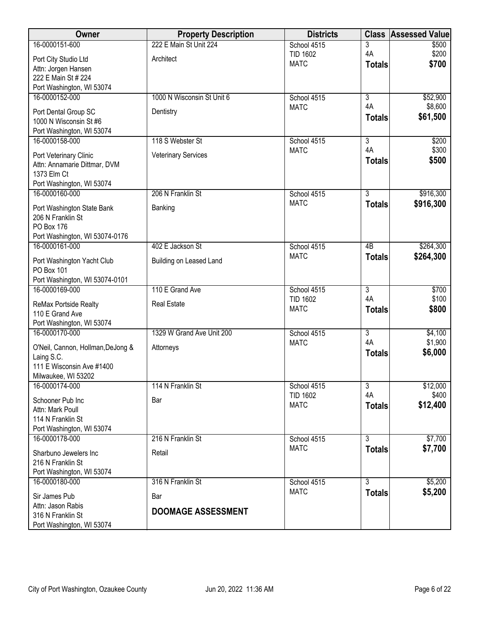| <b>Owner</b>                                           | <b>Property Description</b> | <b>Districts</b>               | <b>Class</b>    | <b>Assessed Value</b> |
|--------------------------------------------------------|-----------------------------|--------------------------------|-----------------|-----------------------|
| 16-0000151-600                                         | 222 E Main St Unit 224      | School 4515                    | 3               | \$500                 |
| Port City Studio Ltd                                   | Architect                   | <b>TID 1602</b><br><b>MATC</b> | 4A              | \$200                 |
| Attn: Jorgen Hansen                                    |                             |                                | <b>Totals</b>   | \$700                 |
| 222 E Main St # 224                                    |                             |                                |                 |                       |
| Port Washington, WI 53074<br>16-0000152-000            | 1000 N Wisconsin St Unit 6  | School 4515                    | $\overline{3}$  | \$52,900              |
|                                                        |                             | <b>MATC</b>                    | 4A              | \$8,600               |
| Port Dental Group SC                                   | Dentistry                   |                                | <b>Totals</b>   | \$61,500              |
| 1000 N Wisconsin St #6<br>Port Washington, WI 53074    |                             |                                |                 |                       |
| 16-0000158-000                                         | 118 S Webster St            | School 4515                    | $\overline{3}$  | \$200                 |
|                                                        | <b>Veterinary Services</b>  | <b>MATC</b>                    | 4A              | \$300                 |
| Port Veterinary Clinic<br>Attn: Annamarie Dittmar, DVM |                             |                                | <b>Totals</b>   | \$500                 |
| 1373 Elm Ct                                            |                             |                                |                 |                       |
| Port Washington, WI 53074                              |                             |                                |                 |                       |
| 16-0000160-000                                         | 206 N Franklin St           | School 4515                    | $\overline{3}$  | \$916,300             |
| Port Washington State Bank                             | Banking                     | <b>MATC</b>                    | <b>Totals</b>   | \$916,300             |
| 206 N Franklin St                                      |                             |                                |                 |                       |
| PO Box 176                                             |                             |                                |                 |                       |
| Port Washington, WI 53074-0176<br>16-0000161-000       | 402 E Jackson St            | School 4515                    | $\overline{AB}$ | \$264,300             |
|                                                        |                             | <b>MATC</b>                    | <b>Totals</b>   | \$264,300             |
| Port Washington Yacht Club<br>PO Box 101               | Building on Leased Land     |                                |                 |                       |
| Port Washington, WI 53074-0101                         |                             |                                |                 |                       |
| 16-0000169-000                                         | 110 E Grand Ave             | School 4515                    | $\overline{3}$  | \$700                 |
| ReMax Portside Realty                                  | <b>Real Estate</b>          | <b>TID 1602</b>                | 4A              | \$100                 |
| 110 E Grand Ave                                        |                             | <b>MATC</b>                    | <b>Totals</b>   | \$800                 |
| Port Washington, WI 53074                              |                             |                                |                 |                       |
| 16-0000170-000                                         | 1329 W Grand Ave Unit 200   | School 4515                    | $\overline{3}$  | \$4,100               |
| O'Neil, Cannon, Hollman, DeJong &                      | Attorneys                   | <b>MATC</b>                    | 4A              | \$1,900               |
| Laing S.C.                                             |                             |                                | <b>Totals</b>   | \$6,000               |
| 111 E Wisconsin Ave #1400                              |                             |                                |                 |                       |
| Milwaukee, WI 53202<br>16-0000174-000                  | 114 N Franklin St           | School 4515                    | $\overline{3}$  | \$12,000              |
|                                                        |                             | <b>TID 1602</b>                | 4A              | \$400                 |
| Schooner Pub Inc<br>Attn: Mark Poull                   | Bar                         | <b>MATC</b>                    | <b>Totals</b>   | \$12,400              |
| 114 N Franklin St                                      |                             |                                |                 |                       |
| Port Washington, WI 53074                              |                             |                                |                 |                       |
| 16-0000178-000                                         | 216 N Franklin St           | School 4515                    | $\overline{3}$  | \$7,700               |
| Sharbuno Jewelers Inc                                  | Retail                      | <b>MATC</b>                    | <b>Totals</b>   | \$7,700               |
| 216 N Franklin St                                      |                             |                                |                 |                       |
| Port Washington, WI 53074                              |                             |                                |                 |                       |
| 16-0000180-000                                         | 316 N Franklin St           | School 4515<br><b>MATC</b>     | $\overline{3}$  | \$5,200               |
| Sir James Pub                                          | Bar                         |                                | <b>Totals</b>   | \$5,200               |
| Attn: Jason Rabis<br>316 N Franklin St                 | <b>DOOMAGE ASSESSMENT</b>   |                                |                 |                       |
| Port Washington, WI 53074                              |                             |                                |                 |                       |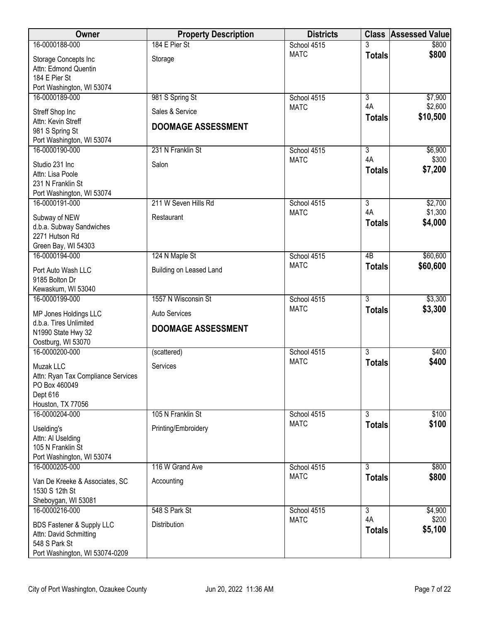| <b>Owner</b>                                | <b>Property Description</b> | <b>Districts</b>           |                      | <b>Class Assessed Value</b> |
|---------------------------------------------|-----------------------------|----------------------------|----------------------|-----------------------------|
| 16-0000188-000                              | 184 E Pier St               | School 4515                |                      | \$800                       |
| Storage Concepts Inc                        | Storage                     | <b>MATC</b>                | <b>Totals</b>        | \$800                       |
| Attn: Edmond Quentin                        |                             |                            |                      |                             |
| 184 E Pier St                               |                             |                            |                      |                             |
| Port Washington, WI 53074                   |                             |                            |                      |                             |
| 16-0000189-000                              | 981 S Spring St             | School 4515<br><b>MATC</b> | $\overline{3}$<br>4A | \$7,900<br>\$2,600          |
| Streff Shop Inc                             | Sales & Service             |                            | <b>Totals</b>        | \$10,500                    |
| Attn: Kevin Streff                          | <b>DOOMAGE ASSESSMENT</b>   |                            |                      |                             |
| 981 S Spring St                             |                             |                            |                      |                             |
| Port Washington, WI 53074<br>16-0000190-000 | 231 N Franklin St           | School 4515                | $\overline{3}$       | \$6,900                     |
|                                             |                             | <b>MATC</b>                | 4A                   | \$300                       |
| Studio 231 Inc                              | Salon                       |                            | <b>Totals</b>        | \$7,200                     |
| Attn: Lisa Poole<br>231 N Franklin St       |                             |                            |                      |                             |
| Port Washington, WI 53074                   |                             |                            |                      |                             |
| 16-0000191-000                              | 211 W Seven Hills Rd        | School 4515                | $\overline{3}$       | \$2,700                     |
|                                             |                             | <b>MATC</b>                | 4A                   | \$1,300                     |
| Subway of NEW<br>d.b.a. Subway Sandwiches   | Restaurant                  |                            | <b>Totals</b>        | \$4,000                     |
| 2271 Hutson Rd                              |                             |                            |                      |                             |
| Green Bay, WI 54303                         |                             |                            |                      |                             |
| 16-0000194-000                              | 124 N Maple St              | School 4515                | $\overline{AB}$      | \$60,600                    |
| Port Auto Wash LLC                          | Building on Leased Land     | <b>MATC</b>                | <b>Totals</b>        | \$60,600                    |
| 9185 Bolton Dr                              |                             |                            |                      |                             |
| Kewaskum, WI 53040                          |                             |                            |                      |                             |
| 16-0000199-000                              | 1557 N Wisconsin St         | School 4515                | $\overline{3}$       | \$3,300                     |
| MP Jones Holdings LLC                       | Auto Services               | <b>MATC</b>                | <b>Totals</b>        | \$3,300                     |
| d.b.a. Tires Unlimited                      |                             |                            |                      |                             |
| N1990 State Hwy 32                          | <b>DOOMAGE ASSESSMENT</b>   |                            |                      |                             |
| Oostburg, WI 53070                          |                             |                            |                      |                             |
| 16-0000200-000                              | (scattered)                 | School 4515                | $\overline{3}$       | \$400                       |
| Muzak LLC                                   | Services                    | <b>MATC</b>                | <b>Totals</b>        | \$400                       |
| Attn: Ryan Tax Compliance Services          |                             |                            |                      |                             |
| PO Box 460049                               |                             |                            |                      |                             |
| Dept 616<br>Houston, TX 77056               |                             |                            |                      |                             |
| 16-0000204-000                              | 105 N Franklin St           | School 4515                | $\overline{3}$       | \$100                       |
|                                             |                             | <b>MATC</b>                | <b>Totals</b>        | \$100                       |
| Uselding's                                  | Printing/Embroidery         |                            |                      |                             |
| Attn: Al Uselding<br>105 N Franklin St      |                             |                            |                      |                             |
| Port Washington, WI 53074                   |                             |                            |                      |                             |
| 16-0000205-000                              | 116 W Grand Ave             | School 4515                | 3                    | \$800                       |
| Van De Kreeke & Associates, SC              | Accounting                  | <b>MATC</b>                | <b>Totals</b>        | \$800                       |
| 1530 S 12th St                              |                             |                            |                      |                             |
| Sheboygan, WI 53081                         |                             |                            |                      |                             |
| 16-0000216-000                              | 548 S Park St               | School 4515                | $\overline{3}$       | \$4,900                     |
| BDS Fastener & Supply LLC                   | Distribution                | <b>MATC</b>                | 4A                   | \$200                       |
| Attn: David Schmitting                      |                             |                            | <b>Totals</b>        | \$5,100                     |
| 548 S Park St                               |                             |                            |                      |                             |
| Port Washington, WI 53074-0209              |                             |                            |                      |                             |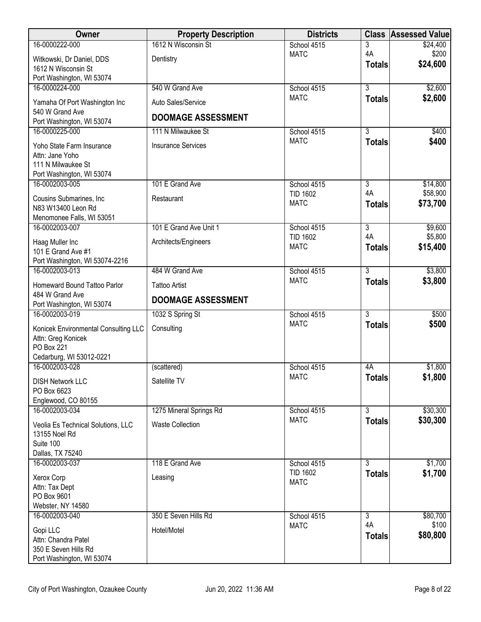| Owner                                            | <b>Property Description</b> | <b>Districts</b>               |                     | <b>Class Assessed Value</b> |
|--------------------------------------------------|-----------------------------|--------------------------------|---------------------|-----------------------------|
| 16-0000222-000                                   | 1612 N Wisconsin St         | School 4515                    | 3                   | \$24,400                    |
| Witkowski, Dr Daniel, DDS                        | Dentistry                   | <b>MATC</b>                    | 4A<br><b>Totals</b> | \$200<br>\$24,600           |
| 1612 N Wisconsin St                              |                             |                                |                     |                             |
| Port Washington, WI 53074<br>16-0000224-000      | 540 W Grand Ave             | School 4515                    | $\overline{3}$      | \$2,600                     |
|                                                  |                             | <b>MATC</b>                    | <b>Totals</b>       | \$2,600                     |
| Yamaha Of Port Washington Inc<br>540 W Grand Ave | Auto Sales/Service          |                                |                     |                             |
| Port Washington, WI 53074                        | <b>DOOMAGE ASSESSMENT</b>   |                                |                     |                             |
| 16-0000225-000                                   | 111 N Milwaukee St          | School 4515                    | $\overline{3}$      | \$400                       |
| Yoho State Farm Insurance                        | <b>Insurance Services</b>   | <b>MATC</b>                    | <b>Totals</b>       | \$400                       |
| Attn: Jane Yoho                                  |                             |                                |                     |                             |
| 111 N Milwaukee St<br>Port Washington, WI 53074  |                             |                                |                     |                             |
| 16-0002003-005                                   | 101 E Grand Ave             | School 4515                    | $\overline{3}$      | \$14,800                    |
| Cousins Submarines, Inc.                         | Restaurant                  | <b>TID 1602</b>                | 4A                  | \$58,900                    |
| N83 W13400 Leon Rd                               |                             | <b>MATC</b>                    | <b>Totals</b>       | \$73,700                    |
| Menomonee Falls, WI 53051                        |                             |                                |                     |                             |
| 16-0002003-007                                   | 101 E Grand Ave Unit 1      | School 4515                    | $\overline{3}$      | \$9,600                     |
| Haag Muller Inc                                  | Architects/Engineers        | <b>TID 1602</b><br><b>MATC</b> | 4A<br><b>Totals</b> | \$5,800<br>\$15,400         |
| 101 E Grand Ave #1                               |                             |                                |                     |                             |
| Port Washington, WI 53074-2216<br>16-0002003-013 | 484 W Grand Ave             | School 4515                    | $\overline{3}$      | \$3,800                     |
|                                                  |                             | <b>MATC</b>                    | <b>Totals</b>       | \$3,800                     |
| Homeward Bound Tattoo Parlor<br>484 W Grand Ave  | <b>Tattoo Artist</b>        |                                |                     |                             |
| Port Washington, WI 53074                        | <b>DOOMAGE ASSESSMENT</b>   |                                |                     |                             |
| 16-0002003-019                                   | 1032 S Spring St            | School 4515                    | $\overline{3}$      | \$500                       |
| Konicek Environmental Consulting LLC             | Consulting                  | <b>MATC</b>                    | <b>Totals</b>       | \$500                       |
| Attn: Greg Konicek                               |                             |                                |                     |                             |
| PO Box 221<br>Cedarburg, WI 53012-0221           |                             |                                |                     |                             |
| 16-0002003-028                                   | (scattered)                 | School 4515                    | 4A                  | \$1,800                     |
| <b>DISH Network LLC</b>                          | Satellite TV                | <b>MATC</b>                    | <b>Totals</b>       | \$1,800                     |
| PO Box 6623                                      |                             |                                |                     |                             |
| Englewood, CO 80155                              |                             |                                |                     |                             |
| 16-0002003-034                                   | 1275 Mineral Springs Rd     | School 4515                    | $\overline{3}$      | \$30,300                    |
| Veolia Es Technical Solutions, LLC               | <b>Waste Collection</b>     | <b>MATC</b>                    | <b>Totals</b>       | \$30,300                    |
| 13155 Noel Rd<br>Suite 100                       |                             |                                |                     |                             |
| Dallas, TX 75240                                 |                             |                                |                     |                             |
| 16-0002003-037                                   | 118 E Grand Ave             | School 4515                    | 3                   | \$1,700                     |
| Xerox Corp                                       | Leasing                     | <b>TID 1602</b>                | <b>Totals</b>       | \$1,700                     |
| Attn: Tax Dept                                   |                             | <b>MATC</b>                    |                     |                             |
| PO Box 9601                                      |                             |                                |                     |                             |
| Webster, NY 14580<br>16-0002003-040              | 350 E Seven Hills Rd        | School 4515                    | $\overline{3}$      | \$80,700                    |
|                                                  |                             | <b>MATC</b>                    | 4A                  | \$100                       |
| Gopi LLC<br>Attn: Chandra Patel                  | Hotel/Motel                 |                                | <b>Totals</b>       | \$80,800                    |
| 350 E Seven Hills Rd                             |                             |                                |                     |                             |
| Port Washington, WI 53074                        |                             |                                |                     |                             |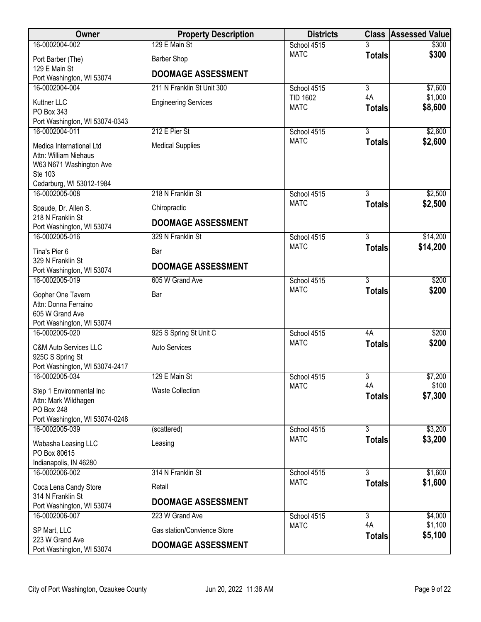| Owner                                            | <b>Property Description</b> | <b>Districts</b>           |                                 | <b>Class Assessed Value</b> |
|--------------------------------------------------|-----------------------------|----------------------------|---------------------------------|-----------------------------|
| 16-0002004-002                                   | 129 E Main St               | School 4515                |                                 | \$300                       |
| Port Barber (The)                                | <b>Barber Shop</b>          | <b>MATC</b>                | <b>Totals</b>                   | \$300                       |
| 129 E Main St                                    | <b>DOOMAGE ASSESSMENT</b>   |                            |                                 |                             |
| Port Washington, WI 53074<br>16-0002004-004      | 211 N Franklin St Unit 300  | School 4515                | $\overline{3}$                  | \$7,600                     |
| Kuttner LLC                                      |                             | <b>TID 1602</b>            | 4A                              | \$1,000                     |
| PO Box 343                                       | <b>Engineering Services</b> | <b>MATC</b>                | <b>Totals</b>                   | \$8,600                     |
| Port Washington, WI 53074-0343                   |                             |                            |                                 |                             |
| 16-0002004-011                                   | 212 E Pier St               | School 4515                | $\overline{3}$                  | \$2,600                     |
| Medica International Ltd                         | <b>Medical Supplies</b>     | <b>MATC</b>                | <b>Totals</b>                   | \$2,600                     |
| Attn: William Niehaus                            |                             |                            |                                 |                             |
| W63 N671 Washington Ave<br>Ste 103               |                             |                            |                                 |                             |
| Cedarburg, WI 53012-1984                         |                             |                            |                                 |                             |
| 16-0002005-008                                   | 218 N Franklin St           | School 4515                | $\overline{3}$                  | \$2,500                     |
| Spaude, Dr. Allen S.                             | Chiropractic                | <b>MATC</b>                | <b>Totals</b>                   | \$2,500                     |
| 218 N Franklin St                                | <b>DOOMAGE ASSESSMENT</b>   |                            |                                 |                             |
| Port Washington, WI 53074<br>16-0002005-016      | 329 N Franklin St           | School 4515                | $\overline{3}$                  | \$14,200                    |
| Tina's Pier 6                                    | Bar                         | <b>MATC</b>                | <b>Totals</b>                   | \$14,200                    |
| 329 N Franklin St                                |                             |                            |                                 |                             |
| Port Washington, WI 53074                        | <b>DOOMAGE ASSESSMENT</b>   |                            |                                 |                             |
| 16-0002005-019                                   | 605 W Grand Ave             | School 4515<br><b>MATC</b> | $\overline{3}$                  | \$200<br>\$200              |
| Gopher One Tavern                                | Bar                         |                            | <b>Totals</b>                   |                             |
| Attn: Donna Ferraino<br>605 W Grand Ave          |                             |                            |                                 |                             |
| Port Washington, WI 53074                        |                             |                            |                                 |                             |
| 16-0002005-020                                   | 925 S Spring St Unit C      | School 4515                | 4A                              | \$200                       |
| <b>C&amp;M Auto Services LLC</b>                 | Auto Services               | <b>MATC</b>                | <b>Totals</b>                   | \$200                       |
| 925C S Spring St                                 |                             |                            |                                 |                             |
| Port Washington, WI 53074-2417<br>16-0002005-034 | 129 E Main St               | School 4515                | 3                               | \$7,200                     |
|                                                  |                             | <b>MATC</b>                | 4A                              | \$100                       |
| Step 1 Environmental Inc<br>Attn: Mark Wildhagen | <b>Waste Collection</b>     |                            | <b>Totals</b>                   | \$7,300                     |
| PO Box 248                                       |                             |                            |                                 |                             |
| Port Washington, WI 53074-0248                   |                             |                            |                                 |                             |
| 16-0002005-039                                   | (scattered)                 | School 4515<br><b>MATC</b> | $\overline{3}$<br><b>Totals</b> | \$3,200<br>\$3,200          |
| Wabasha Leasing LLC                              | Leasing                     |                            |                                 |                             |
| PO Box 80615<br>Indianapolis, IN 46280           |                             |                            |                                 |                             |
| 16-0002006-002                                   | 314 N Franklin St           | School 4515                | 3                               | \$1,600                     |
| Coca Lena Candy Store                            | Retail                      | <b>MATC</b>                | <b>Totals</b>                   | \$1,600                     |
| 314 N Franklin St                                | <b>DOOMAGE ASSESSMENT</b>   |                            |                                 |                             |
| Port Washington, WI 53074                        |                             |                            |                                 |                             |
| 16-0002006-007                                   | 223 W Grand Ave             | School 4515<br><b>MATC</b> | $\overline{3}$<br>4A            | \$4,000<br>\$1,100          |
| SP Mart, LLC<br>223 W Grand Ave                  | Gas station/Convience Store |                            | <b>Totals</b>                   | \$5,100                     |
| Port Washington, WI 53074                        | <b>DOOMAGE ASSESSMENT</b>   |                            |                                 |                             |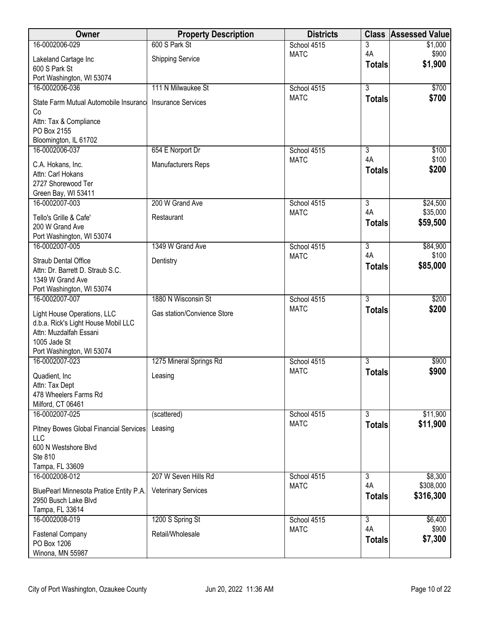| <b>Owner</b>                                  | <b>Property Description</b> | <b>Districts</b>           | <b>Class</b>   | <b>Assessed Value</b> |
|-----------------------------------------------|-----------------------------|----------------------------|----------------|-----------------------|
| 16-0002006-029                                | 600 S Park St               | School 4515                | 3              | \$1,000               |
| Lakeland Cartage Inc                          | <b>Shipping Service</b>     | <b>MATC</b>                | 4A             | \$900                 |
| 600 S Park St                                 |                             |                            | <b>Totals</b>  | \$1,900               |
| Port Washington, WI 53074                     |                             |                            |                |                       |
| 16-0002006-036                                | 111 N Milwaukee St          | School 4515                | $\overline{3}$ | \$700                 |
| State Farm Mutual Automobile Insurance        | <b>Insurance Services</b>   | <b>MATC</b>                | <b>Totals</b>  | \$700                 |
| Co                                            |                             |                            |                |                       |
| Attn: Tax & Compliance                        |                             |                            |                |                       |
| PO Box 2155<br>Bloomington, IL 61702          |                             |                            |                |                       |
| 16-0002006-037                                | 654 E Norport Dr            | School 4515                | $\overline{3}$ | \$100                 |
|                                               |                             | <b>MATC</b>                | 4A             | \$100                 |
| C.A. Hokans, Inc.                             | Manufacturers Reps          |                            | <b>Totals</b>  | \$200                 |
| Attn: Carl Hokans<br>2727 Shorewood Ter       |                             |                            |                |                       |
| Green Bay, WI 53411                           |                             |                            |                |                       |
| 16-0002007-003                                | 200 W Grand Ave             | School 4515                | $\overline{3}$ | \$24,500              |
| Tello's Grille & Cafe'                        | Restaurant                  | <b>MATC</b>                | 4A             | \$35,000              |
| 200 W Grand Ave                               |                             |                            | <b>Totals</b>  | \$59,500              |
| Port Washington, WI 53074                     |                             |                            |                |                       |
| 16-0002007-005                                | 1349 W Grand Ave            | School 4515                | $\overline{3}$ | \$84,900              |
| <b>Straub Dental Office</b>                   | Dentistry                   | <b>MATC</b>                | 4A             | \$100                 |
| Attn: Dr. Barrett D. Straub S.C.              |                             |                            | <b>Totals</b>  | \$85,000              |
| 1349 W Grand Ave                              |                             |                            |                |                       |
| Port Washington, WI 53074                     |                             |                            |                |                       |
| 16-0002007-007                                | 1880 N Wisconsin St         | School 4515                | $\overline{3}$ | \$200                 |
| Light House Operations, LLC                   | Gas station/Convience Store | <b>MATC</b>                | <b>Totals</b>  | \$200                 |
| d.b.a. Rick's Light House Mobil LLC           |                             |                            |                |                       |
| Attn: Muzdalfah Essani                        |                             |                            |                |                       |
| 1005 Jade St                                  |                             |                            |                |                       |
| Port Washington, WI 53074<br>16-0002007-023   |                             |                            | $\overline{3}$ |                       |
|                                               | 1275 Mineral Springs Rd     | School 4515<br><b>MATC</b> | <b>Totals</b>  | \$900<br>\$900        |
| Quadient, Inc.                                | Leasing                     |                            |                |                       |
| Attn: Tax Dept<br>478 Wheelers Farms Rd       |                             |                            |                |                       |
| Milford, CT 06461                             |                             |                            |                |                       |
| 16-0002007-025                                | (scattered)                 | School 4515                | $\overline{3}$ | \$11,900              |
|                                               |                             | <b>MATC</b>                | <b>Totals</b>  | \$11,900              |
| Pitney Bowes Global Financial Services<br>LLC | Leasing                     |                            |                |                       |
| 600 N Westshore Blvd                          |                             |                            |                |                       |
| Ste 810                                       |                             |                            |                |                       |
| Tampa, FL 33609                               |                             |                            |                |                       |
| 16-0002008-012                                | 207 W Seven Hills Rd        | School 4515                | 3              | \$8,300               |
| BluePearl Minnesota Pratice Entity P.A.       | <b>Veterinary Services</b>  | <b>MATC</b>                | 4A             | \$308,000             |
| 2950 Busch Lake Blvd                          |                             |                            | <b>Totals</b>  | \$316,300             |
| Tampa, FL 33614                               |                             |                            |                |                       |
| 16-0002008-019                                | 1200 S Spring St            | School 4515                | $\overline{3}$ | \$6,400               |
| <b>Fastenal Company</b>                       | Retail/Wholesale            | <b>MATC</b>                | 4A             | \$900                 |
| PO Box 1206                                   |                             |                            | <b>Totals</b>  | \$7,300               |
| Winona, MN 55987                              |                             |                            |                |                       |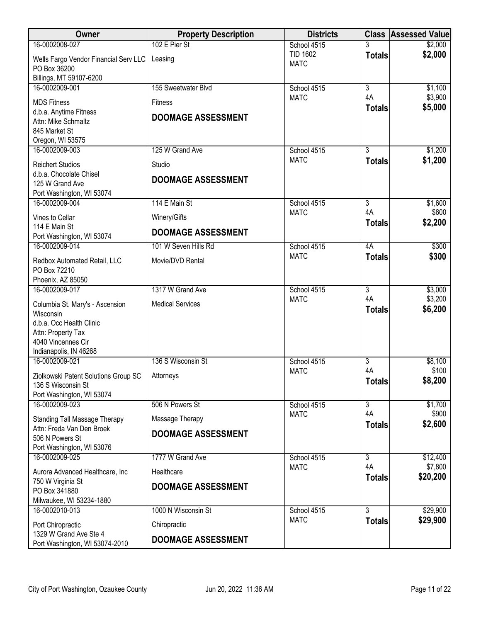| Owner                                                             | <b>Property Description</b> | <b>Districts</b>               |                      | <b>Class Assessed Value</b> |
|-------------------------------------------------------------------|-----------------------------|--------------------------------|----------------------|-----------------------------|
| 16-0002008-027                                                    | 102 E Pier St               | School 4515                    |                      | \$2,000                     |
| Wells Fargo Vendor Financial Serv LLC                             | Leasing                     | <b>TID 1602</b><br><b>MATC</b> | <b>Totals</b>        | \$2,000                     |
| PO Box 36200                                                      |                             |                                |                      |                             |
| Billings, MT 59107-6200<br>16-0002009-001                         |                             |                                | $\overline{3}$       |                             |
|                                                                   | 155 Sweetwater Blvd         | School 4515<br><b>MATC</b>     | 4A                   | \$1,100<br>\$3,900          |
| <b>MDS Fitness</b>                                                | <b>Fitness</b>              |                                | <b>Totals</b>        | \$5,000                     |
| d.b.a. Anytime Fitness<br>Attn: Mike Schmaltz                     | <b>DOOMAGE ASSESSMENT</b>   |                                |                      |                             |
| 845 Market St                                                     |                             |                                |                      |                             |
| Oregon, WI 53575                                                  |                             |                                |                      |                             |
| 16-0002009-003                                                    | 125 W Grand Ave             | School 4515                    | 3                    | \$1,200                     |
| <b>Reichert Studios</b>                                           | Studio                      | <b>MATC</b>                    | <b>Totals</b>        | \$1,200                     |
| d.b.a. Chocolate Chisel                                           | <b>DOOMAGE ASSESSMENT</b>   |                                |                      |                             |
| 125 W Grand Ave<br>Port Washington, WI 53074                      |                             |                                |                      |                             |
| 16-0002009-004                                                    | 114 E Main St               | School 4515                    | $\overline{3}$       | \$1,600                     |
| Vines to Cellar                                                   | Winery/Gifts                | <b>MATC</b>                    | 4A                   | \$600                       |
| 114 E Main St                                                     |                             |                                | <b>Totals</b>        | \$2,200                     |
| Port Washington, WI 53074                                         | <b>DOOMAGE ASSESSMENT</b>   |                                |                      |                             |
| 16-0002009-014                                                    | 101 W Seven Hills Rd        | School 4515                    | 4A                   | \$300                       |
| Redbox Automated Retail, LLC                                      | Movie/DVD Rental            | <b>MATC</b>                    | <b>Totals</b>        | \$300                       |
| PO Box 72210                                                      |                             |                                |                      |                             |
| Phoenix, AZ 85050                                                 |                             |                                |                      |                             |
| 16-0002009-017                                                    | 1317 W Grand Ave            | School 4515<br><b>MATC</b>     | $\overline{3}$<br>4A | \$3,000<br>\$3,200          |
| Columbia St. Mary's - Ascension                                   | <b>Medical Services</b>     |                                | <b>Totals</b>        | \$6,200                     |
| Wisconsin<br>d.b.a. Occ Health Clinic                             |                             |                                |                      |                             |
| Attn: Property Tax                                                |                             |                                |                      |                             |
| 4040 Vincennes Cir                                                |                             |                                |                      |                             |
| Indianapolis, IN 46268                                            |                             |                                |                      |                             |
| 16-0002009-021                                                    | 136 S Wisconsin St          | School 4515<br><b>MATC</b>     | 3<br>4A              | \$8,100<br>\$100            |
| Ziolkowski Patent Solutions Group SC                              | Attorneys                   |                                | <b>Totals</b>        | \$8,200                     |
| 136 S Wisconsin St                                                |                             |                                |                      |                             |
| Port Washington, WI 53074<br>16-0002009-023                       | 506 N Powers St             | School 4515                    | $\overline{3}$       | \$1,700                     |
|                                                                   |                             | <b>MATC</b>                    | 4A                   | \$900                       |
| <b>Standing Tall Massage Therapy</b><br>Attn: Freda Van Den Broek | Massage Therapy             |                                | <b>Totals</b>        | \$2,600                     |
| 506 N Powers St                                                   | <b>DOOMAGE ASSESSMENT</b>   |                                |                      |                             |
| Port Washington, WI 53076                                         |                             |                                |                      |                             |
| 16-0002009-025                                                    | 1777 W Grand Ave            | School 4515                    | 3                    | \$12,400                    |
| Aurora Advanced Healthcare, Inc                                   | Healthcare                  | <b>MATC</b>                    | 4A<br><b>Totals</b>  | \$7,800<br>\$20,200         |
| 750 W Virginia St                                                 | <b>DOOMAGE ASSESSMENT</b>   |                                |                      |                             |
| PO Box 341880<br>Milwaukee, WI 53234-1880                         |                             |                                |                      |                             |
| 16-0002010-013                                                    | 1000 N Wisconsin St         | School 4515                    | 3                    | \$29,900                    |
| Port Chiropractic                                                 | Chiropractic                | <b>MATC</b>                    | <b>Totals</b>        | \$29,900                    |
| 1329 W Grand Ave Ste 4                                            |                             |                                |                      |                             |
| Port Washington, WI 53074-2010                                    | <b>DOOMAGE ASSESSMENT</b>   |                                |                      |                             |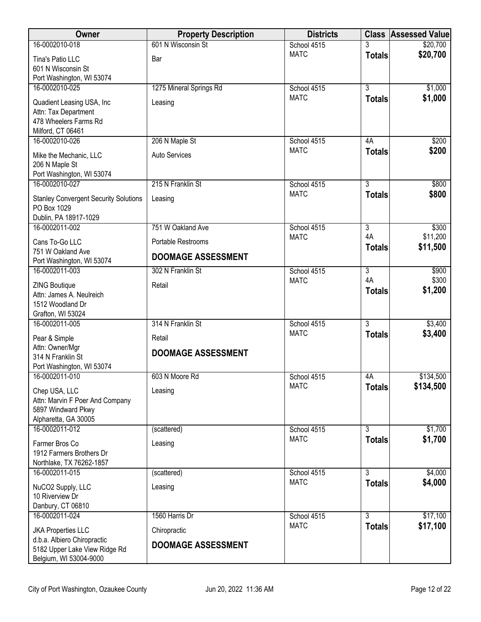| Owner                                                                                           | <b>Property Description</b> | <b>Districts</b> | <b>Class</b>        | <b>Assessed Value</b> |
|-------------------------------------------------------------------------------------------------|-----------------------------|------------------|---------------------|-----------------------|
| 16-0002010-018                                                                                  | 601 N Wisconsin St          | School 4515      |                     | \$20,700              |
| Tina's Patio LLC<br>601 N Wisconsin St<br>Port Washington, WI 53074                             | Bar                         | <b>MATC</b>      | <b>Totals</b>       | \$20,700              |
| 16-0002010-025                                                                                  | 1275 Mineral Springs Rd     | School 4515      | $\overline{3}$      | \$1,000               |
| Quadient Leasing USA, Inc<br>Attn: Tax Department<br>478 Wheelers Farms Rd<br>Milford, CT 06461 | Leasing                     | <b>MATC</b>      | <b>Totals</b>       | \$1,000               |
| 16-0002010-026                                                                                  | 206 N Maple St              | School 4515      | 4A                  | \$200                 |
| Mike the Mechanic, LLC<br>206 N Maple St<br>Port Washington, WI 53074                           | Auto Services               | <b>MATC</b>      | <b>Totals</b>       | \$200                 |
| 16-0002010-027                                                                                  | 215 N Franklin St           | School 4515      | $\overline{3}$      | \$800                 |
| <b>Stanley Convergent Security Solutions</b><br>PO Box 1029                                     | Leasing                     | <b>MATC</b>      | <b>Totals</b>       | \$800                 |
| Dublin, PA 18917-1029<br>16-0002011-002                                                         | 751 W Oakland Ave           | School 4515      | $\overline{3}$      | \$300                 |
|                                                                                                 |                             | <b>MATC</b>      | 4A                  | \$11,200              |
| Cans To-Go LLC<br>751 W Oakland Ave                                                             | Portable Restrooms          |                  | <b>Totals</b>       | \$11,500              |
| Port Washington, WI 53074                                                                       | <b>DOOMAGE ASSESSMENT</b>   |                  |                     |                       |
| 16-0002011-003                                                                                  | 302 N Franklin St           | School 4515      | $\overline{3}$      | \$900                 |
| <b>ZING Boutique</b><br>Attn: James A. Neulreich<br>1512 Woodland Dr<br>Grafton, WI 53024       | Retail                      | <b>MATC</b>      | 4A<br><b>Totals</b> | \$300<br>\$1,200      |
| 16-0002011-005                                                                                  | 314 N Franklin St           | School 4515      | $\overline{3}$      | \$3,400               |
| Pear & Simple                                                                                   | Retail                      | <b>MATC</b>      | <b>Totals</b>       | \$3,400               |
| Attn: Owner/Mgr<br>314 N Franklin St<br>Port Washington, WI 53074                               | <b>DOOMAGE ASSESSMENT</b>   |                  |                     |                       |
| 16-0002011-010                                                                                  | 603 N Moore Rd              | School 4515      | 4A                  | \$134,500             |
| Chep USA, LLC<br>Attn: Marvin F Poer And Company<br>5897 Windward Pkwy<br>Alpharetta, GA 30005  | Leasing                     | <b>MATC</b>      | <b>Totals</b>       | \$134,500             |
| 16-0002011-012                                                                                  | (scattered)                 | School 4515      | 3                   | \$1,700               |
| Farmer Bros Co<br>1912 Farmers Brothers Dr<br>Northlake, TX 76262-1857                          | Leasing                     | <b>MATC</b>      | <b>Totals</b>       | \$1,700               |
| 16-0002011-015                                                                                  | (scattered)                 | School 4515      | $\overline{3}$      | \$4,000               |
| NuCO2 Supply, LLC<br>10 Riverview Dr<br>Danbury, CT 06810                                       | Leasing                     | <b>MATC</b>      | <b>Totals</b>       | \$4,000               |
| 16-0002011-024                                                                                  | 1560 Harris Dr              | School 4515      | $\overline{3}$      | \$17,100              |
| <b>JKA Properties LLC</b>                                                                       | Chiropractic                | <b>MATC</b>      | <b>Totals</b>       | \$17,100              |
| d.b.a. Albiero Chiropractic<br>5182 Upper Lake View Ridge Rd<br>Belgium, WI 53004-9000          | <b>DOOMAGE ASSESSMENT</b>   |                  |                     |                       |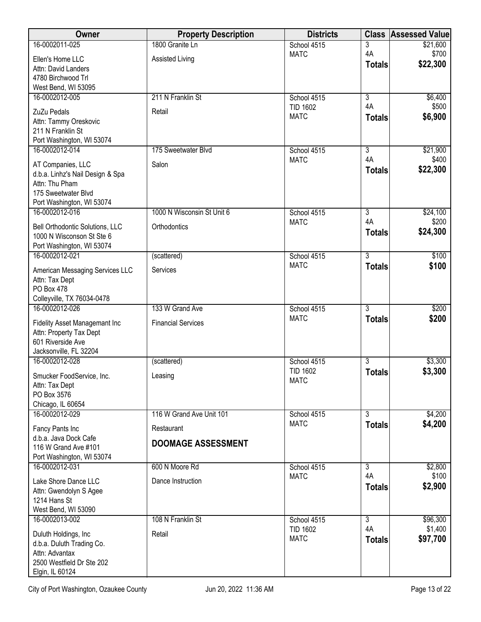| Owner                                                           | <b>Property Description</b> | <b>Districts</b>               |                      | <b>Class Assessed Value</b> |
|-----------------------------------------------------------------|-----------------------------|--------------------------------|----------------------|-----------------------------|
| 16-0002011-025                                                  | 1800 Granite Ln             | School 4515                    | 3                    | \$21,600                    |
| Ellen's Home LLC                                                | Assisted Living             | <b>MATC</b>                    | 4A<br><b>Totals</b>  | \$700<br>\$22,300           |
| Attn: David Landers<br>4780 Birchwood Trl                       |                             |                                |                      |                             |
| West Bend, WI 53095                                             |                             |                                |                      |                             |
| 16-0002012-005                                                  | 211 N Franklin St           | School 4515                    | $\overline{3}$       | \$6,400                     |
| ZuZu Pedals                                                     | Retail                      | <b>TID 1602</b>                | 4A                   | \$500                       |
| Attn: Tammy Oreskovic                                           |                             | <b>MATC</b>                    | <b>Totals</b>        | \$6,900                     |
| 211 N Franklin St                                               |                             |                                |                      |                             |
| Port Washington, WI 53074<br>16-0002012-014                     | 175 Sweetwater Blvd         | School 4515                    | 3                    | \$21,900                    |
|                                                                 |                             | <b>MATC</b>                    | 4A                   | \$400                       |
| AT Companies, LLC<br>d.b.a. Linhz's Nail Design & Spa           | Salon                       |                                | <b>Totals</b>        | \$22,300                    |
| Attn: Thu Pham                                                  |                             |                                |                      |                             |
| 175 Sweetwater Blvd                                             |                             |                                |                      |                             |
| Port Washington, WI 53074                                       |                             |                                |                      |                             |
| 16-0002012-016                                                  | 1000 N Wisconsin St Unit 6  | School 4515<br><b>MATC</b>     | $\overline{3}$<br>4A | \$24,100<br>\$200           |
| Bell Orthodontic Solutions, LLC                                 | Orthodontics                |                                | <b>Totals</b>        | \$24,300                    |
| 1000 N Wisconson St Ste 6<br>Port Washington, WI 53074          |                             |                                |                      |                             |
| 16-0002012-021                                                  | (scattered)                 | School 4515                    | 3                    | \$100                       |
| American Messaging Services LLC                                 | Services                    | <b>MATC</b>                    | <b>Totals</b>        | \$100                       |
| Attn: Tax Dept                                                  |                             |                                |                      |                             |
| PO Box 478                                                      |                             |                                |                      |                             |
| Colleyville, TX 76034-0478<br>16-0002012-026                    | 133 W Grand Ave             | School 4515                    | $\overline{3}$       | \$200                       |
|                                                                 |                             | <b>MATC</b>                    | <b>Totals</b>        | \$200                       |
| <b>Fidelity Asset Managemant Inc</b><br>Attn: Property Tax Dept | <b>Financial Services</b>   |                                |                      |                             |
| 601 Riverside Ave                                               |                             |                                |                      |                             |
| Jacksonville, FL 32204                                          |                             |                                |                      |                             |
| 16-0002012-028                                                  | (scattered)                 | School 4515                    | $\overline{3}$       | \$3,300                     |
| Smucker FoodService, Inc.                                       | Leasing                     | <b>TID 1602</b><br><b>MATC</b> | <b>Totals</b>        | \$3,300                     |
| Attn: Tax Dept<br>PO Box 3576                                   |                             |                                |                      |                             |
| Chicago, IL 60654                                               |                             |                                |                      |                             |
| 16-0002012-029                                                  | 116 W Grand Ave Unit 101    | School 4515                    | $\overline{3}$       | \$4,200                     |
| Fancy Pants Inc                                                 | Restaurant                  | <b>MATC</b>                    | <b>Totals</b>        | \$4,200                     |
| d.b.a. Java Dock Cafe                                           | <b>DOOMAGE ASSESSMENT</b>   |                                |                      |                             |
| 116 W Grand Ave #101                                            |                             |                                |                      |                             |
| Port Washington, WI 53074<br>16-0002012-031                     | 600 N Moore Rd              | School 4515                    | $\overline{3}$       | \$2,800                     |
| Lake Shore Dance LLC                                            | Dance Instruction           | <b>MATC</b>                    | 4A                   | \$100                       |
| Attn: Gwendolyn S Agee                                          |                             |                                | <b>Totals</b>        | \$2,900                     |
| 1214 Hans St                                                    |                             |                                |                      |                             |
| West Bend, WI 53090                                             |                             |                                |                      |                             |
| 16-0002013-002                                                  | 108 N Franklin St           | School 4515<br><b>TID 1602</b> | $\overline{3}$<br>4A | \$96,300<br>\$1,400         |
| Duluth Holdings, Inc.                                           | Retail                      | <b>MATC</b>                    | <b>Totals</b>        | \$97,700                    |
| d.b.a. Duluth Trading Co.<br>Attn: Advantax                     |                             |                                |                      |                             |
| 2500 Westfield Dr Ste 202                                       |                             |                                |                      |                             |
| Elgin, IL 60124                                                 |                             |                                |                      |                             |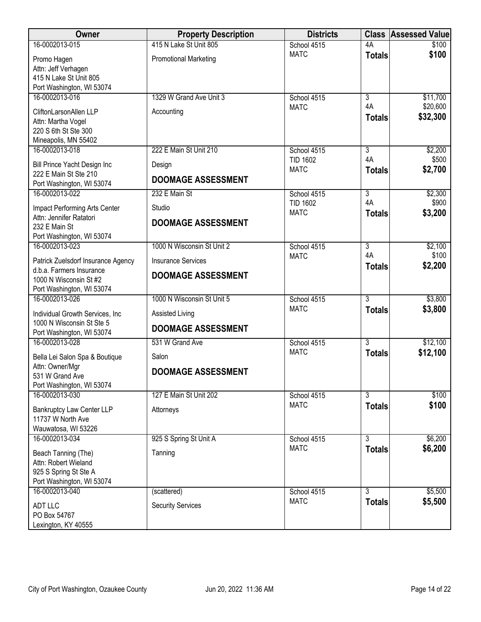| <b>Owner</b>                                                                                      | <b>Property Description</b>  | <b>Districts</b>                              |                                       | <b>Class Assessed Value</b> |
|---------------------------------------------------------------------------------------------------|------------------------------|-----------------------------------------------|---------------------------------------|-----------------------------|
| 16-0002013-015                                                                                    | 415 N Lake St Unit 805       | School 4515                                   | 4A                                    | \$100                       |
| Promo Hagen<br>Attn: Jeff Verhagen<br>415 N Lake St Unit 805<br>Port Washington, WI 53074         | <b>Promotional Marketing</b> | <b>MATC</b>                                   | <b>Totals</b>                         | \$100                       |
| 16-0002013-016                                                                                    | 1329 W Grand Ave Unit 3      | School 4515                                   | $\overline{3}$                        | \$11,700                    |
| CliftonLarsonAllen LLP<br>Attn: Martha Vogel<br>220 S 6th St Ste 300<br>Mineapolis, MN 55402      | Accounting                   | <b>MATC</b>                                   | 4A<br><b>Totals</b>                   | \$20,600<br>\$32,300        |
| 16-0002013-018                                                                                    | 222 E Main St Unit 210       | School 4515                                   | $\overline{3}$                        | \$2,200                     |
| Bill Prince Yacht Design Inc<br>222 E Main St Ste 210                                             | Design                       | <b>TID 1602</b><br><b>MATC</b>                | 4A<br><b>Totals</b>                   | \$500<br>\$2,700            |
| Port Washington, WI 53074                                                                         | <b>DOOMAGE ASSESSMENT</b>    |                                               |                                       |                             |
| 16-0002013-022<br>Impact Performing Arts Center                                                   | 232 E Main St<br>Studio      | School 4515<br><b>TID 1602</b><br><b>MATC</b> | $\overline{3}$<br>4A<br><b>Totals</b> | \$2,300<br>\$900<br>\$3,200 |
| Attn: Jennifer Ratatori<br>232 E Main St<br>Port Washington, WI 53074                             | <b>DOOMAGE ASSESSMENT</b>    |                                               |                                       |                             |
| 16-0002013-023                                                                                    | 1000 N Wisconsin St Unit 2   | School 4515                                   | $\overline{3}$                        | \$2,100                     |
| Patrick Zuelsdorf Insurance Agency                                                                | <b>Insurance Services</b>    | <b>MATC</b>                                   | 4A<br><b>Totals</b>                   | \$100<br>\$2,200            |
| d.b.a. Farmers Insurance<br>1000 N Wisconsin St #2<br>Port Washington, WI 53074                   | <b>DOOMAGE ASSESSMENT</b>    |                                               |                                       |                             |
| 16-0002013-026                                                                                    | 1000 N Wisconsin St Unit 5   | School 4515                                   | $\overline{3}$                        | \$3,800                     |
| Individual Growth Services, Inc<br>1000 N Wisconsin St Ste 5                                      | Assisted Living              | <b>MATC</b>                                   | <b>Totals</b>                         | \$3,800                     |
| Port Washington, WI 53074                                                                         | <b>DOOMAGE ASSESSMENT</b>    |                                               |                                       |                             |
| 16-0002013-028                                                                                    | 531 W Grand Ave              | School 4515                                   | $\overline{3}$                        | \$12,100                    |
| Bella Lei Salon Spa & Boutique                                                                    | Salon                        | <b>MATC</b>                                   | <b>Totals</b>                         | \$12,100                    |
| Attn: Owner/Mgr<br>531 W Grand Ave<br>Port Washington, WI 53074                                   | <b>DOOMAGE ASSESSMENT</b>    |                                               |                                       |                             |
| 16-0002013-030                                                                                    | 127 E Main St Unit 202       | School 4515                                   | $\overline{3}$                        | \$100                       |
| Bankruptcy Law Center LLP<br>11737 W North Ave<br>Wauwatosa, WI 53226                             | Attorneys                    | <b>MATC</b>                                   | <b>Totals</b>                         | \$100                       |
| 16-0002013-034                                                                                    | 925 S Spring St Unit A       | School 4515                                   | $\overline{3}$                        | \$6,200                     |
| Beach Tanning (The)<br>Attn: Robert Wieland<br>925 S Spring St Ste A<br>Port Washington, WI 53074 | Tanning                      | <b>MATC</b>                                   | <b>Totals</b>                         | \$6,200                     |
| 16-0002013-040                                                                                    | (scattered)                  | School 4515                                   | $\overline{3}$                        | \$5,500                     |
| <b>ADT LLC</b><br>PO Box 54767<br>Lexington, KY 40555                                             | <b>Security Services</b>     | <b>MATC</b>                                   | <b>Totals</b>                         | \$5,500                     |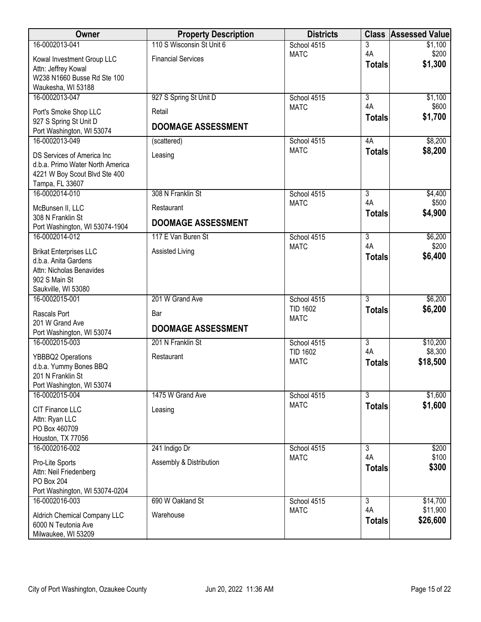| Owner                                               | <b>Property Description</b> | <b>Districts</b>           | <b>Class</b>              | <b>Assessed Value</b> |
|-----------------------------------------------------|-----------------------------|----------------------------|---------------------------|-----------------------|
| 16-0002013-041                                      | 110 S Wisconsin St Unit 6   | School 4515                | 3                         | \$1,100               |
| Kowal Investment Group LLC                          | <b>Financial Services</b>   | <b>MATC</b>                | 4A                        | \$200<br>\$1,300      |
| Attn: Jeffrey Kowal                                 |                             |                            | <b>Totals</b>             |                       |
| W238 N1660 Busse Rd Ste 100                         |                             |                            |                           |                       |
| Waukesha, WI 53188<br>16-0002013-047                | 927 S Spring St Unit D      | School 4515                | $\overline{3}$            | \$1,100               |
|                                                     |                             | <b>MATC</b>                | 4A                        | \$600                 |
| Port's Smoke Shop LLC                               | Retail                      |                            | <b>Totals</b>             | \$1,700               |
| 927 S Spring St Unit D<br>Port Washington, WI 53074 | <b>DOOMAGE ASSESSMENT</b>   |                            |                           |                       |
| 16-0002013-049                                      | (scattered)                 | School 4515                | 4A                        | \$8,200               |
| DS Services of America Inc                          | Leasing                     | <b>MATC</b>                | <b>Totals</b>             | \$8,200               |
| d.b.a. Primo Water North America                    |                             |                            |                           |                       |
| 4221 W Boy Scout Blvd Ste 400                       |                             |                            |                           |                       |
| Tampa, FL 33607                                     |                             |                            |                           |                       |
| 16-0002014-010                                      | 308 N Franklin St           | School 4515<br><b>MATC</b> | $\overline{3}$<br>4A      | \$4,400<br>\$500      |
| McBunsen II, LLC<br>308 N Franklin St               | Restaurant                  |                            | <b>Totals</b>             | \$4,900               |
| Port Washington, WI 53074-1904                      | <b>DOOMAGE ASSESSMENT</b>   |                            |                           |                       |
| 16-0002014-012                                      | 117 E Van Buren St          | School 4515                | $\overline{3}$            | \$6,200               |
| <b>Brikat Enterprises LLC</b>                       | Assisted Living             | <b>MATC</b>                | 4A                        | \$200                 |
| d.b.a. Anita Gardens                                |                             |                            | <b>Totals</b>             | \$6,400               |
| Attn: Nicholas Benavides                            |                             |                            |                           |                       |
| 902 S Main St<br>Saukville, WI 53080                |                             |                            |                           |                       |
| 16-0002015-001                                      | 201 W Grand Ave             | School 4515                | $\overline{3}$            | \$6,200               |
|                                                     |                             | <b>TID 1602</b>            | <b>Totals</b>             | \$6,200               |
| Rascals Port<br>201 W Grand Ave                     | Bar                         | <b>MATC</b>                |                           |                       |
| Port Washington, WI 53074                           | <b>DOOMAGE ASSESSMENT</b>   |                            |                           |                       |
| 16-0002015-003                                      | 201 N Franklin St           | School 4515                | $\overline{\overline{3}}$ | \$10,200              |
| YBBBQ2 Operations                                   | Restaurant                  | <b>TID 1602</b>            | 4A                        | \$8,300               |
| d.b.a. Yummy Bones BBQ                              |                             | <b>MATC</b>                | <b>Totals</b>             | \$18,500              |
| 201 N Franklin St                                   |                             |                            |                           |                       |
| Port Washington, WI 53074                           |                             |                            |                           |                       |
| 16-0002015-004                                      | 1475 W Grand Ave            | School 4515                | $\overline{3}$            | \$1,600               |
| CIT Finance LLC                                     | Leasing                     | <b>MATC</b>                | <b>Totals</b>             | \$1,600               |
| Attn: Ryan LLC                                      |                             |                            |                           |                       |
| PO Box 460709                                       |                             |                            |                           |                       |
| Houston, TX 77056<br>16-0002016-002                 | 241 Indigo Dr               | School 4515                | $\overline{3}$            | \$200                 |
|                                                     |                             | <b>MATC</b>                | 4A                        | \$100                 |
| Pro-Lite Sports<br>Attn: Neil Friedenberg           | Assembly & Distribution     |                            | <b>Totals</b>             | \$300                 |
| <b>PO Box 204</b>                                   |                             |                            |                           |                       |
| Port Washington, WI 53074-0204                      |                             |                            |                           |                       |
| 16-0002016-003                                      | 690 W Oakland St            | School 4515                | $\overline{3}$            | \$14,700              |
| Aldrich Chemical Company LLC                        | Warehouse                   | <b>MATC</b>                | 4A                        | \$11,900              |
| 6000 N Teutonia Ave                                 |                             |                            | <b>Totals</b>             | \$26,600              |
| Milwaukee, WI 53209                                 |                             |                            |                           |                       |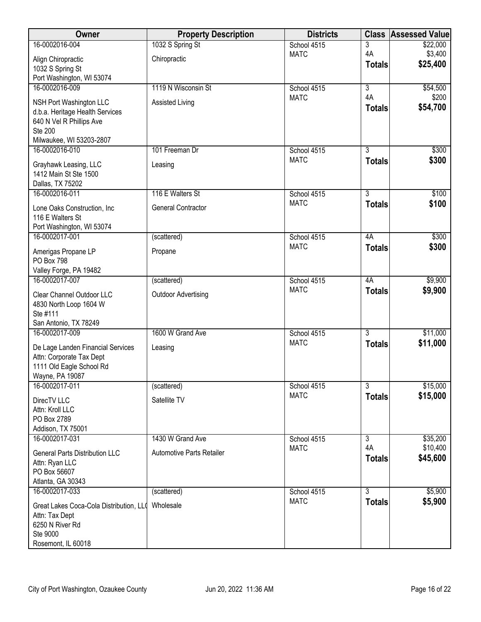| Owner                                               | <b>Property Description</b> | <b>Districts</b>           | <b>Class</b>                    | <b>Assessed Value</b> |
|-----------------------------------------------------|-----------------------------|----------------------------|---------------------------------|-----------------------|
| 16-0002016-004                                      | 1032 S Spring St            | School 4515                | 3                               | \$22,000              |
| Align Chiropractic                                  | Chiropractic                | <b>MATC</b>                | 4A                              | \$3,400               |
| 1032 S Spring St                                    |                             |                            | <b>Totals</b>                   | \$25,400              |
| Port Washington, WI 53074                           |                             |                            |                                 |                       |
| 16-0002016-009                                      | 1119 N Wisconsin St         | School 4515                | $\overline{\overline{3}}$<br>4A | \$54,500<br>\$200     |
| NSH Port Washington LLC                             | Assisted Living             | <b>MATC</b>                | <b>Totals</b>                   | \$54,700              |
| d.b.a. Heritage Health Services                     |                             |                            |                                 |                       |
| 640 N Vel R Phillips Ave<br><b>Ste 200</b>          |                             |                            |                                 |                       |
| Milwaukee, WI 53203-2807                            |                             |                            |                                 |                       |
| 16-0002016-010                                      | 101 Freeman Dr              | School 4515                | $\overline{3}$                  | \$300                 |
| Grayhawk Leasing, LLC                               | Leasing                     | <b>MATC</b>                | <b>Totals</b>                   | \$300                 |
| 1412 Main St Ste 1500                               |                             |                            |                                 |                       |
| Dallas, TX 75202                                    |                             |                            |                                 |                       |
| 16-0002016-011                                      | 116 E Walters St            | School 4515                | $\overline{3}$                  | \$100                 |
| Lone Oaks Construction, Inc                         | General Contractor          | <b>MATC</b>                | <b>Totals</b>                   | \$100                 |
| 116 E Walters St                                    |                             |                            |                                 |                       |
| Port Washington, WI 53074                           |                             |                            |                                 |                       |
| 16-0002017-001                                      | (scattered)                 | School 4515<br><b>MATC</b> | 4A<br><b>Totals</b>             | \$300<br>\$300        |
| Amerigas Propane LP                                 | Propane                     |                            |                                 |                       |
| PO Box 798<br>Valley Forge, PA 19482                |                             |                            |                                 |                       |
| 16-0002017-007                                      | (scattered)                 | School 4515                | 4A                              | \$9,900               |
|                                                     |                             | <b>MATC</b>                | <b>Totals</b>                   | \$9,900               |
| Clear Channel Outdoor LLC<br>4830 North Loop 1604 W | <b>Outdoor Advertising</b>  |                            |                                 |                       |
| Ste #111                                            |                             |                            |                                 |                       |
| San Antonio, TX 78249                               |                             |                            |                                 |                       |
| 16-0002017-009                                      | 1600 W Grand Ave            | School 4515                | $\overline{3}$                  | \$11,000              |
| De Lage Landen Financial Services                   | Leasing                     | <b>MATC</b>                | <b>Totals</b>                   | \$11,000              |
| Attn: Corporate Tax Dept                            |                             |                            |                                 |                       |
| 1111 Old Eagle School Rd                            |                             |                            |                                 |                       |
| Wayne, PA 19087<br>16-0002017-011                   | (scattered)                 | School 4515                | $\overline{\overline{3}}$       | \$15,000              |
|                                                     |                             | <b>MATC</b>                | <b>Totals</b>                   | \$15,000              |
| DirecTV LLC                                         | Satellite TV                |                            |                                 |                       |
| Attn: Kroll LLC<br>PO Box 2789                      |                             |                            |                                 |                       |
| Addison, TX 75001                                   |                             |                            |                                 |                       |
| 16-0002017-031                                      | 1430 W Grand Ave            | School 4515                | 3                               | \$35,200              |
| <b>General Parts Distribution LLC</b>               | Automotive Parts Retailer   | <b>MATC</b>                | 4A                              | \$10,400              |
| Attn: Ryan LLC                                      |                             |                            | <b>Totals</b>                   | \$45,600              |
| PO Box 56607                                        |                             |                            |                                 |                       |
| Atlanta, GA 30343                                   |                             |                            |                                 |                       |
| 16-0002017-033                                      | (scattered)                 | School 4515<br><b>MATC</b> | 3<br><b>Totals</b>              | \$5,900<br>\$5,900    |
| Great Lakes Coca-Cola Distribution, LLO             | Wholesale                   |                            |                                 |                       |
| Attn: Tax Dept<br>6250 N River Rd                   |                             |                            |                                 |                       |
| Ste 9000                                            |                             |                            |                                 |                       |
| Rosemont, IL 60018                                  |                             |                            |                                 |                       |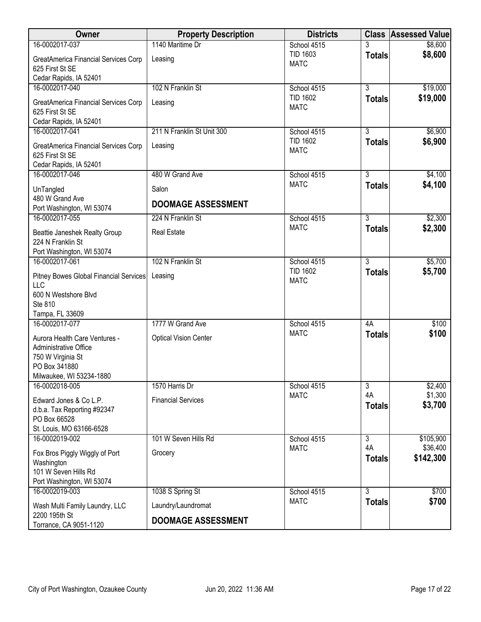| Owner                                                                                                                    | <b>Property Description</b>  | <b>Districts</b>               |                     | <b>Class Assessed Value</b> |
|--------------------------------------------------------------------------------------------------------------------------|------------------------------|--------------------------------|---------------------|-----------------------------|
| 16-0002017-037                                                                                                           | 1140 Maritime Dr             | School 4515                    | 3                   | \$8,600                     |
| GreatAmerica Financial Services Corp<br>625 First St SE                                                                  | Leasing                      | <b>TID 1603</b><br><b>MATC</b> | <b>Totals</b>       | \$8,600                     |
| Cedar Rapids, IA 52401                                                                                                   |                              |                                |                     |                             |
| 16-0002017-040                                                                                                           | 102 N Franklin St            | School 4515<br><b>TID 1602</b> | $\overline{3}$      | \$19,000                    |
| GreatAmerica Financial Services Corp<br>625 First St SE                                                                  | Leasing                      | <b>MATC</b>                    | <b>Totals</b>       | \$19,000                    |
| Cedar Rapids, IA 52401<br>16-0002017-041                                                                                 | 211 N Franklin St Unit 300   | School 4515                    | $\overline{3}$      | \$6,900                     |
|                                                                                                                          |                              | <b>TID 1602</b>                | <b>Totals</b>       | \$6,900                     |
| GreatAmerica Financial Services Corp<br>625 First St SE<br>Cedar Rapids, IA 52401                                        | Leasing                      | <b>MATC</b>                    |                     |                             |
| 16-0002017-046                                                                                                           | 480 W Grand Ave              | School 4515                    | $\overline{3}$      | \$4,100                     |
| UnTangled                                                                                                                | Salon                        | <b>MATC</b>                    | <b>Totals</b>       | \$4,100                     |
| 480 W Grand Ave<br>Port Washington, WI 53074                                                                             | <b>DOOMAGE ASSESSMENT</b>    |                                |                     |                             |
| 16-0002017-055                                                                                                           | 224 N Franklin St            | School 4515                    | $\overline{3}$      | \$2,300                     |
| Beattie Janeshek Realty Group                                                                                            | <b>Real Estate</b>           | <b>MATC</b>                    | <b>Totals</b>       | \$2,300                     |
| 224 N Franklin St                                                                                                        |                              |                                |                     |                             |
| Port Washington, WI 53074<br>16-0002017-061                                                                              | 102 N Franklin St            | School 4515                    | $\overline{3}$      | \$5,700                     |
|                                                                                                                          |                              | <b>TID 1602</b>                | <b>Totals</b>       | \$5,700                     |
| Pitney Bowes Global Financial Services<br><b>LLC</b><br>600 N Westshore Blvd<br>Ste 810                                  | Leasing                      | <b>MATC</b>                    |                     |                             |
| Tampa, FL 33609<br>16-0002017-077                                                                                        | 1777 W Grand Ave             | School 4515                    | 4A                  | \$100                       |
|                                                                                                                          |                              | <b>MATC</b>                    | <b>Totals</b>       | \$100                       |
| Aurora Health Care Ventures -<br>Administrative Office<br>750 W Virginia St<br>PO Box 341880<br>Milwaukee, WI 53234-1880 | <b>Optical Vision Center</b> |                                |                     |                             |
| 16-0002018-005                                                                                                           | 1570 Harris Dr               | School 4515                    | 3                   | \$2,400                     |
| Edward Jones & Co L.P.<br>d.b.a. Tax Reporting #92347<br>PO Box 66528<br>St. Louis, MO 63166-6528                        | <b>Financial Services</b>    | <b>MATC</b>                    | 4A<br><b>Totals</b> | \$1,300<br>\$3,700          |
| 16-0002019-002                                                                                                           | 101 W Seven Hills Rd         | School 4515                    | 3                   | \$105,900                   |
| Fox Bros Piggly Wiggly of Port<br>Washington<br>101 W Seven Hills Rd<br>Port Washington, WI 53074                        | Grocery                      | <b>MATC</b>                    | 4A<br><b>Totals</b> | \$36,400<br>\$142,300       |
| 16-0002019-003                                                                                                           | 1038 S Spring St             | School 4515                    | $\overline{3}$      | \$700                       |
| Wash Multi Family Laundry, LLC                                                                                           | Laundry/Laundromat           | <b>MATC</b>                    | <b>Totals</b>       | \$700                       |
| 2200 195th St<br>Torrance, CA 9051-1120                                                                                  | <b>DOOMAGE ASSESSMENT</b>    |                                |                     |                             |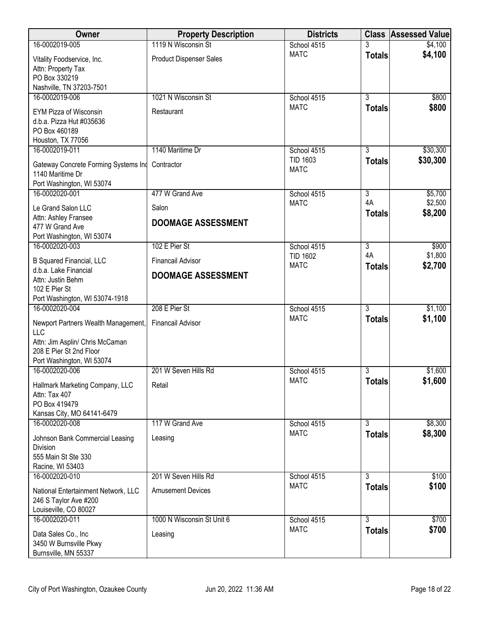| <b>Owner</b>                                             | <b>Property Description</b> | <b>Districts</b>           |                     | <b>Class Assessed Value</b> |
|----------------------------------------------------------|-----------------------------|----------------------------|---------------------|-----------------------------|
| 16-0002019-005                                           | 1119 N Wisconsin St         | School 4515                |                     | \$4,100                     |
| Vitality Foodservice, Inc.                               | Product Dispenser Sales     | <b>MATC</b>                | <b>Totals</b>       | \$4,100                     |
| Attn: Property Tax                                       |                             |                            |                     |                             |
| PO Box 330219<br>Nashville, TN 37203-7501                |                             |                            |                     |                             |
| 16-0002019-006                                           | 1021 N Wisconsin St         | School 4515                | $\overline{3}$      | \$800                       |
| <b>EYM Pizza of Wisconsin</b>                            | Restaurant                  | <b>MATC</b>                | <b>Totals</b>       | \$800                       |
| d.b.a. Pizza Hut #035636                                 |                             |                            |                     |                             |
| PO Box 460189                                            |                             |                            |                     |                             |
| Houston, TX 77056<br>16-0002019-011                      | 1140 Maritime Dr            | School 4515                | $\overline{3}$      | \$30,300                    |
|                                                          |                             | <b>TID 1603</b>            | <b>Totals</b>       | \$30,300                    |
| Gateway Concrete Forming Systems Ind<br>1140 Maritime Dr | Contractor                  | <b>MATC</b>                |                     |                             |
| Port Washington, WI 53074                                |                             |                            |                     |                             |
| 16-0002020-001                                           | 477 W Grand Ave             | School 4515                | $\overline{3}$      | \$5,700                     |
| Le Grand Salon LLC                                       | Salon                       | <b>MATC</b>                | 4A<br><b>Totals</b> | \$2,500<br>\$8,200          |
| Attn: Ashley Fransee                                     | <b>DOOMAGE ASSESSMENT</b>   |                            |                     |                             |
| 477 W Grand Ave<br>Port Washington, WI 53074             |                             |                            |                     |                             |
| 16-0002020-003                                           | 102 E Pier St               | School 4515                | $\overline{3}$      | \$900                       |
| <b>B Squared Financial, LLC</b>                          | <b>Financail Advisor</b>    | <b>TID 1602</b>            | 4A                  | \$1,800                     |
| d.b.a. Lake Financial                                    | <b>DOOMAGE ASSESSMENT</b>   | <b>MATC</b>                | <b>Totals</b>       | \$2,700                     |
| Attn: Justin Behm                                        |                             |                            |                     |                             |
| 102 E Pier St<br>Port Washington, WI 53074-1918          |                             |                            |                     |                             |
| 16-0002020-004                                           | 208 E Pier St               | School 4515                | $\overline{3}$      | \$1,100                     |
| Newport Partners Wealth Management,                      | <b>Financail Advisor</b>    | <b>MATC</b>                | <b>Totals</b>       | \$1,100                     |
| <b>LLC</b>                                               |                             |                            |                     |                             |
| Attn: Jim Asplin/ Chris McCaman                          |                             |                            |                     |                             |
| 208 E Pier St 2nd Floor<br>Port Washington, WI 53074     |                             |                            |                     |                             |
| 16-0002020-006                                           | 201 W Seven Hills Rd        | School 4515                | 3                   | \$1,600                     |
| Hallmark Marketing Company, LLC                          | Retail                      | <b>MATC</b>                | <b>Totals</b>       | \$1,600                     |
| Attn: Tax 407                                            |                             |                            |                     |                             |
| PO Box 419479                                            |                             |                            |                     |                             |
| Kansas City, MO 64141-6479<br>16-0002020-008             | 117 W Grand Ave             | School 4515                | $\overline{3}$      | \$8,300                     |
|                                                          | Leasing                     | <b>MATC</b>                | <b>Totals</b>       | \$8,300                     |
| Johnson Bank Commercial Leasing<br>Division              |                             |                            |                     |                             |
| 555 Main St Ste 330                                      |                             |                            |                     |                             |
| Racine, WI 53403                                         |                             |                            |                     |                             |
| 16-0002020-010                                           | 201 W Seven Hills Rd        | School 4515<br><b>MATC</b> | 3<br><b>Totals</b>  | \$100<br>\$100              |
| National Entertainment Network, LLC                      | <b>Amusement Devices</b>    |                            |                     |                             |
| 246 S Taylor Ave #200<br>Louiseville, CO 80027           |                             |                            |                     |                             |
| 16-0002020-011                                           | 1000 N Wisconsin St Unit 6  | School 4515                | $\overline{3}$      | \$700                       |
| Data Sales Co., Inc                                      | Leasing                     | <b>MATC</b>                | <b>Totals</b>       | \$700                       |
| 3450 W Burnsville Pkwy                                   |                             |                            |                     |                             |
| Burnsville, MN 55337                                     |                             |                            |                     |                             |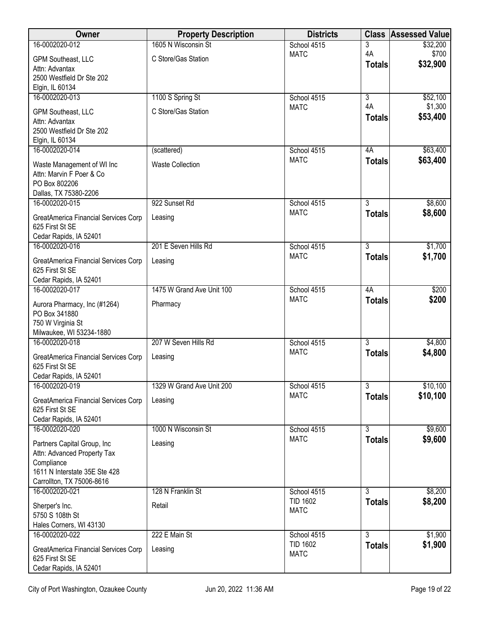| Owner                                                   | <b>Property Description</b> | <b>Districts</b>               | <b>Class</b>   | <b>Assessed Value</b> |
|---------------------------------------------------------|-----------------------------|--------------------------------|----------------|-----------------------|
| 16-0002020-012                                          | 1605 N Wisconsin St         | School 4515                    | 3              | \$32,200              |
| GPM Southeast, LLC                                      | C Store/Gas Station         | <b>MATC</b>                    | 4A             | \$700<br>\$32,900     |
| Attn: Advantax                                          |                             |                                | <b>Totals</b>  |                       |
| 2500 Westfield Dr Ste 202                               |                             |                                |                |                       |
| Elgin, IL 60134<br>16-0002020-013                       | 1100 S Spring St            | School 4515                    | $\overline{3}$ | \$52,100              |
|                                                         |                             | <b>MATC</b>                    | 4A             | \$1,300               |
| GPM Southeast, LLC                                      | C Store/Gas Station         |                                | <b>Totals</b>  | \$53,400              |
| Attn: Advantax<br>2500 Westfield Dr Ste 202             |                             |                                |                |                       |
| Elgin, IL 60134                                         |                             |                                |                |                       |
| 16-0002020-014                                          | (scattered)                 | School 4515                    | 4A             | \$63,400              |
| Waste Management of WI Inc                              | <b>Waste Collection</b>     | <b>MATC</b>                    | <b>Totals</b>  | \$63,400              |
| Attn: Marvin F Poer & Co                                |                             |                                |                |                       |
| PO Box 802206                                           |                             |                                |                |                       |
| Dallas, TX 75380-2206                                   |                             |                                | $\overline{3}$ |                       |
| 16-0002020-015                                          | 922 Sunset Rd               | School 4515<br><b>MATC</b>     | <b>Totals</b>  | \$8,600<br>\$8,600    |
| GreatAmerica Financial Services Corp                    | Leasing                     |                                |                |                       |
| 625 First St SE<br>Cedar Rapids, IA 52401               |                             |                                |                |                       |
| 16-0002020-016                                          | 201 E Seven Hills Rd        | School 4515                    | $\overline{3}$ | \$1,700               |
|                                                         |                             | <b>MATC</b>                    | <b>Totals</b>  | \$1,700               |
| GreatAmerica Financial Services Corp<br>625 First St SE | Leasing                     |                                |                |                       |
| Cedar Rapids, IA 52401                                  |                             |                                |                |                       |
| 16-0002020-017                                          | 1475 W Grand Ave Unit 100   | School 4515                    | 4A             | \$200                 |
| Aurora Pharmacy, Inc (#1264)                            | Pharmacy                    | <b>MATC</b>                    | <b>Totals</b>  | \$200                 |
| PO Box 341880                                           |                             |                                |                |                       |
| 750 W Virginia St                                       |                             |                                |                |                       |
| Milwaukee, WI 53234-1880<br>16-0002020-018              | 207 W Seven Hills Rd        | School 4515                    | $\overline{3}$ | \$4,800               |
|                                                         |                             | <b>MATC</b>                    | <b>Totals</b>  | \$4,800               |
| GreatAmerica Financial Services Corp<br>625 First St SE | Leasing                     |                                |                |                       |
| Cedar Rapids, IA 52401                                  |                             |                                |                |                       |
| 16-0002020-019                                          | 1329 W Grand Ave Unit 200   | School 4515                    | $\overline{3}$ | \$10,100              |
| GreatAmerica Financial Services Corp                    | Leasing                     | <b>MATC</b>                    | <b>Totals</b>  | \$10,100              |
| 625 First St SE                                         |                             |                                |                |                       |
| Cedar Rapids, IA 52401                                  |                             |                                |                |                       |
| 16-0002020-020                                          | 1000 N Wisconsin St         | School 4515                    | $\overline{3}$ | \$9,600               |
| Partners Capital Group, Inc                             | Leasing                     | <b>MATC</b>                    | <b>Totals</b>  | \$9,600               |
| Attn: Advanced Property Tax                             |                             |                                |                |                       |
| Compliance<br>1611 N Interstate 35E Ste 428             |                             |                                |                |                       |
| Carrollton, TX 75006-8616                               |                             |                                |                |                       |
| 16-0002020-021                                          | 128 N Franklin St           | School 4515                    | $\overline{3}$ | \$8,200               |
| Sherper's Inc.                                          | Retail                      | <b>TID 1602</b>                | <b>Totals</b>  | \$8,200               |
| 5750 S 108th St                                         |                             | <b>MATC</b>                    |                |                       |
| Hales Corners, WI 43130                                 |                             |                                |                |                       |
| 16-0002020-022                                          | 222 E Main St               | School 4515                    | $\overline{3}$ | \$1,900               |
| GreatAmerica Financial Services Corp                    | Leasing                     | <b>TID 1602</b><br><b>MATC</b> | <b>Totals</b>  | \$1,900               |
| 625 First St SE                                         |                             |                                |                |                       |
| Cedar Rapids, IA 52401                                  |                             |                                |                |                       |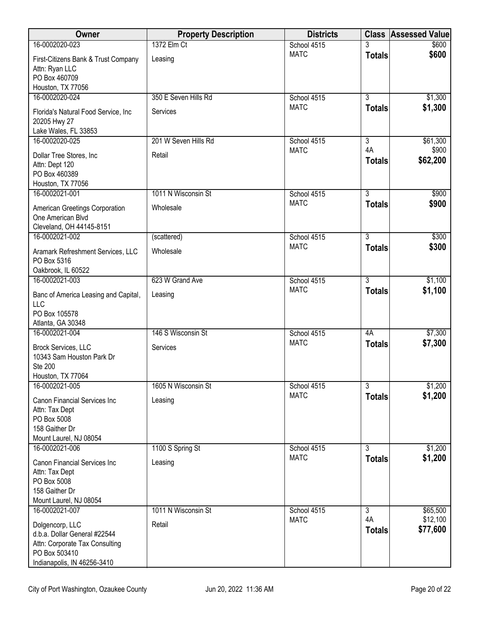| <b>Owner</b>                                                                                                                      | <b>Property Description</b> | <b>Districts</b> |                           | <b>Class Assessed Value</b> |
|-----------------------------------------------------------------------------------------------------------------------------------|-----------------------------|------------------|---------------------------|-----------------------------|
| 16-0002020-023                                                                                                                    | 1372 Elm Ct                 | School 4515      |                           | \$600                       |
| First-Citizens Bank & Trust Company<br>Attn: Ryan LLC<br>PO Box 460709<br>Houston, TX 77056                                       | Leasing                     | <b>MATC</b>      | <b>Totals</b>             | \$600                       |
| 16-0002020-024                                                                                                                    | 350 E Seven Hills Rd        | School 4515      | $\overline{3}$            | \$1,300                     |
| Florida's Natural Food Service, Inc.<br>20205 Hwy 27<br>Lake Wales, FL 33853                                                      | Services                    | <b>MATC</b>      | <b>Totals</b>             | \$1,300                     |
| 16-0002020-025                                                                                                                    | 201 W Seven Hills Rd        | School 4515      | $\overline{\overline{3}}$ | \$61,300                    |
| Dollar Tree Stores, Inc<br>Attn: Dept 120<br>PO Box 460389<br>Houston, TX 77056                                                   | Retail                      | <b>MATC</b>      | 4A<br><b>Totals</b>       | \$900<br>\$62,200           |
| 16-0002021-001                                                                                                                    | 1011 N Wisconsin St         | School 4515      | $\overline{3}$            | \$900                       |
| American Greetings Corporation<br>One American Blvd<br>Cleveland, OH 44145-8151                                                   | Wholesale                   | <b>MATC</b>      | <b>Totals</b>             | \$900                       |
| 16-0002021-002                                                                                                                    | (scattered)                 | School 4515      | $\overline{3}$            | \$300                       |
| Aramark Refreshment Services, LLC<br>PO Box 5316<br>Oakbrook, IL 60522                                                            | Wholesale                   | <b>MATC</b>      | <b>Totals</b>             | \$300                       |
| 16-0002021-003                                                                                                                    | 623 W Grand Ave             | School 4515      | $\overline{3}$            | \$1,100                     |
| Banc of America Leasing and Capital,<br><b>LLC</b><br>PO Box 105578<br>Atlanta, GA 30348                                          | Leasing                     | <b>MATC</b>      | <b>Totals</b>             | \$1,100                     |
| 16-0002021-004                                                                                                                    | 146 S Wisconsin St          | School 4515      | 4A                        | \$7,300                     |
| Brock Services, LLC<br>10343 Sam Houston Park Dr<br><b>Ste 200</b><br>Houston, TX 77064                                           | Services                    | <b>MATC</b>      | <b>Totals</b>             | \$7,300                     |
| 16-0002021-005                                                                                                                    | 1605 N Wisconsin St         | School 4515      | $\overline{3}$            | \$1,200                     |
| <b>Canon Financial Services Inc</b><br>Attn: Tax Dept<br>PO Box 5008<br>158 Gaither Dr<br>Mount Laurel, NJ 08054                  | Leasing                     | <b>MATC</b>      | <b>Totals</b>             | \$1,200                     |
| 16-0002021-006                                                                                                                    | 1100 S Spring St            | School 4515      | $\overline{3}$            | \$1,200                     |
| Canon Financial Services Inc<br>Attn: Tax Dept<br>PO Box 5008<br>158 Gaither Dr<br>Mount Laurel, NJ 08054                         | Leasing                     | <b>MATC</b>      | <b>Totals</b>             | \$1,200                     |
| 16-0002021-007                                                                                                                    | 1011 N Wisconsin St         | School 4515      | $\overline{3}$            | \$65,500                    |
| Dolgencorp, LLC<br>d.b.a. Dollar General #22544<br>Attn: Corporate Tax Consulting<br>PO Box 503410<br>Indianapolis, IN 46256-3410 | Retail                      | <b>MATC</b>      | 4A<br><b>Totals</b>       | \$12,100<br>\$77,600        |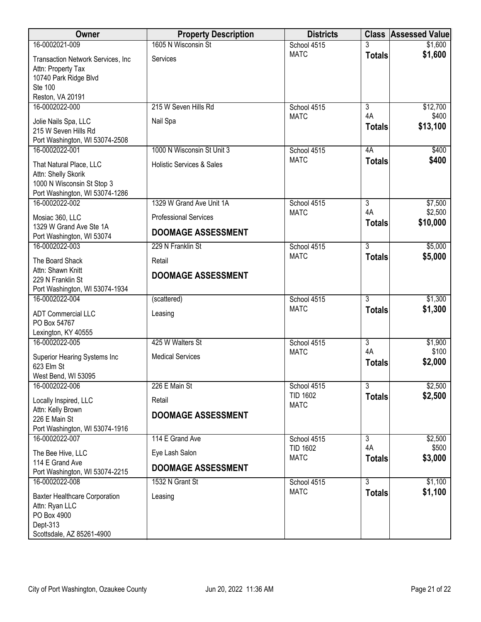| <b>Owner</b>                                           | <b>Property Description</b>          | <b>Districts</b>               |                                 | <b>Class Assessed Value</b> |
|--------------------------------------------------------|--------------------------------------|--------------------------------|---------------------------------|-----------------------------|
| 16-0002021-009                                         | 1605 N Wisconsin St                  | School 4515                    |                                 | \$1,600                     |
| Transaction Network Services, Inc                      | Services                             | <b>MATC</b>                    | <b>Totals</b>                   | \$1,600                     |
| Attn: Property Tax                                     |                                      |                                |                                 |                             |
| 10740 Park Ridge Blvd                                  |                                      |                                |                                 |                             |
| Ste 100                                                |                                      |                                |                                 |                             |
| Reston, VA 20191<br>16-0002022-000                     | 215 W Seven Hills Rd                 | School 4515                    | $\overline{3}$                  | \$12,700                    |
|                                                        |                                      | <b>MATC</b>                    | 4A                              | \$400                       |
| Jolie Nails Spa, LLC                                   | Nail Spa                             |                                | <b>Totals</b>                   | \$13,100                    |
| 215 W Seven Hills Rd<br>Port Washington, WI 53074-2508 |                                      |                                |                                 |                             |
| 16-0002022-001                                         | 1000 N Wisconsin St Unit 3           | School 4515                    | 4A                              | \$400                       |
|                                                        |                                      | <b>MATC</b>                    | <b>Totals</b>                   | \$400                       |
| That Natural Place, LLC<br>Attn: Shelly Skorik         | <b>Holistic Services &amp; Sales</b> |                                |                                 |                             |
| 1000 N Wisconsin St Stop 3                             |                                      |                                |                                 |                             |
| Port Washington, WI 53074-1286                         |                                      |                                |                                 |                             |
| 16-0002022-002                                         | 1329 W Grand Ave Unit 1A             | School 4515                    | $\overline{3}$                  | \$7,500                     |
| Mosiac 360, LLC                                        | <b>Professional Services</b>         | <b>MATC</b>                    | 4A<br><b>Totals</b>             | \$2,500<br>\$10,000         |
| 1329 W Grand Ave Ste 1A<br>Port Washington, WI 53074   | <b>DOOMAGE ASSESSMENT</b>            |                                |                                 |                             |
| 16-0002022-003                                         | 229 N Franklin St                    | School 4515                    | $\overline{3}$                  | \$5,000                     |
| The Board Shack                                        | Retail                               | <b>MATC</b>                    | <b>Totals</b>                   | \$5,000                     |
| Attn: Shawn Knitt                                      |                                      |                                |                                 |                             |
| 229 N Franklin St                                      | <b>DOOMAGE ASSESSMENT</b>            |                                |                                 |                             |
| Port Washington, WI 53074-1934                         |                                      |                                |                                 |                             |
| 16-0002022-004                                         | (scattered)                          | School 4515                    | $\overline{3}$                  | \$1,300                     |
| <b>ADT Commercial LLC</b>                              | Leasing                              | <b>MATC</b>                    | <b>Totals</b>                   | \$1,300                     |
| PO Box 54767                                           |                                      |                                |                                 |                             |
| Lexington, KY 40555                                    |                                      |                                |                                 |                             |
| 16-0002022-005                                         | 425 W Walters St                     | School 4515                    | $\overline{\overline{3}}$<br>4A | \$1,900                     |
| Superior Hearing Systems Inc                           | <b>Medical Services</b>              | <b>MATC</b>                    | <b>Totals</b>                   | \$100<br>\$2,000            |
| 623 Elm St                                             |                                      |                                |                                 |                             |
| West Bend, WI 53095                                    |                                      |                                |                                 |                             |
| 16-0002022-006                                         | 226 E Main St                        | School 4515<br><b>TID 1602</b> | $\overline{3}$                  | \$2,500<br>\$2,500          |
| Locally Inspired, LLC                                  | Retail                               | <b>MATC</b>                    | <b>Totals</b>                   |                             |
| Attn: Kelly Brown<br>226 E Main St                     | <b>DOOMAGE ASSESSMENT</b>            |                                |                                 |                             |
| Port Washington, WI 53074-1916                         |                                      |                                |                                 |                             |
| 16-0002022-007                                         | 114 E Grand Ave                      | School 4515                    | 3                               | \$2,500                     |
| The Bee Hive, LLC                                      | Eye Lash Salon                       | <b>TID 1602</b>                | 4A                              | \$500                       |
| 114 E Grand Ave                                        | <b>DOOMAGE ASSESSMENT</b>            | <b>MATC</b>                    | <b>Totals</b>                   | \$3,000                     |
| Port Washington, WI 53074-2215                         |                                      |                                |                                 |                             |
| 16-0002022-008                                         | 1532 N Grant St                      | School 4515                    | $\overline{3}$                  | \$1,100                     |
| <b>Baxter Healthcare Corporation</b>                   | Leasing                              | <b>MATC</b>                    | <b>Totals</b>                   | \$1,100                     |
| Attn: Ryan LLC                                         |                                      |                                |                                 |                             |
| PO Box 4900                                            |                                      |                                |                                 |                             |
| Dept-313<br>Scottsdale, AZ 85261-4900                  |                                      |                                |                                 |                             |